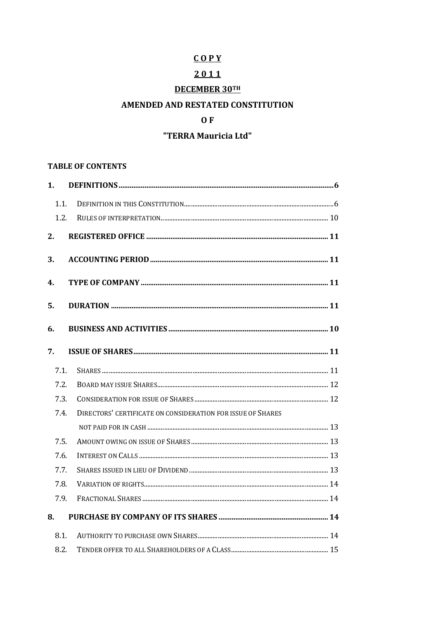# $COPY$

# $2011$

# **DECEMBER 30TH**

# AMENDED AND RESTATED CONSTITUTION

### $0 F$

# "TERRA Mauricia Ltd"

#### **TABLE OF CONTENTS**

| 1.   |                                                             |  |
|------|-------------------------------------------------------------|--|
| 1.1. |                                                             |  |
| 1.2. |                                                             |  |
| 2.   |                                                             |  |
| 3.   |                                                             |  |
| 4.   |                                                             |  |
| 5.   |                                                             |  |
| 6.   |                                                             |  |
| 7.   |                                                             |  |
| 7.1. |                                                             |  |
| 7.2. |                                                             |  |
| 7.3. |                                                             |  |
| 7.4. | DIRECTORS' CERTIFICATE ON CONSIDERATION FOR ISSUE OF SHARES |  |
|      |                                                             |  |
| 7.5. |                                                             |  |
| 7.6. |                                                             |  |
| 7.7. |                                                             |  |
| 7.8. |                                                             |  |
| 7.9. |                                                             |  |
| 8.   |                                                             |  |
| 8.1. |                                                             |  |
| 8.2. |                                                             |  |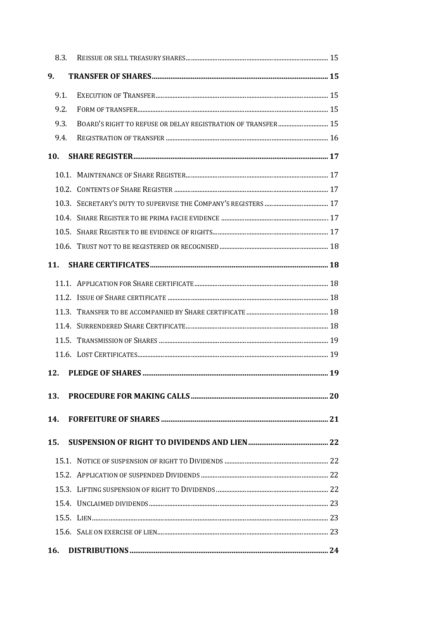|            | 8.3. |                                                              |  |
|------------|------|--------------------------------------------------------------|--|
| 9.         |      |                                                              |  |
|            | 9.1. |                                                              |  |
|            | 9.2. |                                                              |  |
|            | 9.3. | BOARD'S RIGHT TO REFUSE OR DELAY REGISTRATION OF TRANSFER 15 |  |
|            | 9.4. |                                                              |  |
| 10.        |      |                                                              |  |
|            |      |                                                              |  |
|            |      |                                                              |  |
|            |      |                                                              |  |
|            |      |                                                              |  |
|            |      |                                                              |  |
|            |      |                                                              |  |
| 11.        |      |                                                              |  |
|            |      |                                                              |  |
|            |      |                                                              |  |
|            |      |                                                              |  |
|            |      |                                                              |  |
|            |      |                                                              |  |
|            |      |                                                              |  |
| 12.        |      |                                                              |  |
| 13.        |      |                                                              |  |
| 14.        |      |                                                              |  |
| 15.        |      |                                                              |  |
|            |      |                                                              |  |
|            |      |                                                              |  |
|            |      |                                                              |  |
|            |      |                                                              |  |
|            |      |                                                              |  |
|            |      |                                                              |  |
|            |      |                                                              |  |
| <b>16.</b> |      |                                                              |  |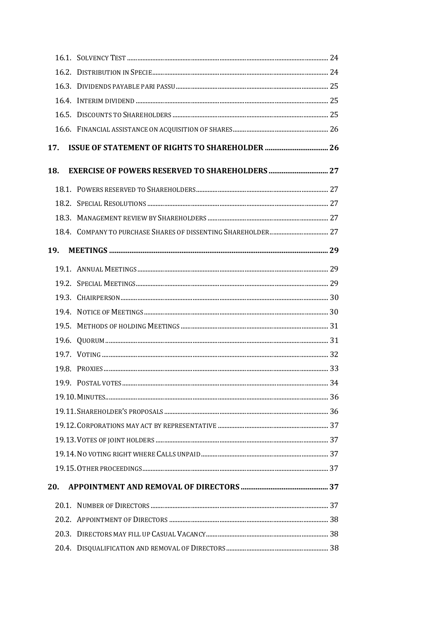| 17.        |  |
|------------|--|
| 18.        |  |
|            |  |
|            |  |
|            |  |
|            |  |
| <b>19.</b> |  |
|            |  |
|            |  |
|            |  |
|            |  |
|            |  |
|            |  |
|            |  |
|            |  |
|            |  |
|            |  |
|            |  |
|            |  |
|            |  |
|            |  |
|            |  |
| 20.        |  |
|            |  |
|            |  |
|            |  |
|            |  |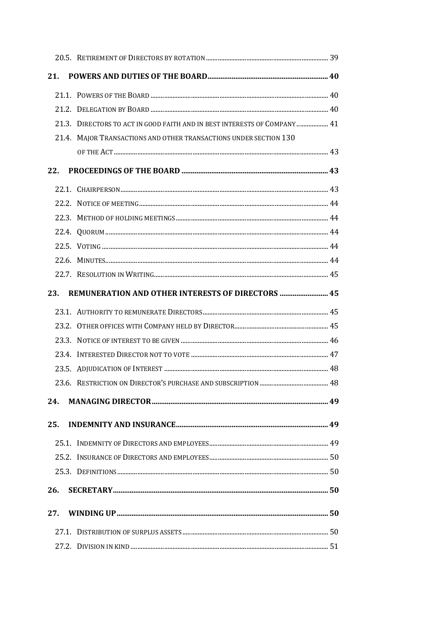| 21. |                                                                           |  |
|-----|---------------------------------------------------------------------------|--|
|     |                                                                           |  |
|     |                                                                           |  |
|     | 21.3. DIRECTORS TO ACT IN GOOD FAITH AND IN BEST INTERESTS OF COMPANY  41 |  |
|     | 21.4. MAJOR TRANSACTIONS AND OTHER TRANSACTIONS UNDER SECTION 130         |  |
|     |                                                                           |  |
| 22. |                                                                           |  |
|     |                                                                           |  |
|     |                                                                           |  |
|     |                                                                           |  |
|     |                                                                           |  |
|     |                                                                           |  |
|     |                                                                           |  |
|     |                                                                           |  |
| 23. | REMUNERATION AND OTHER INTERESTS OF DIRECTORS  45                         |  |
|     |                                                                           |  |
|     |                                                                           |  |
|     |                                                                           |  |
|     |                                                                           |  |
|     |                                                                           |  |
|     |                                                                           |  |
| 24. |                                                                           |  |
| 25. |                                                                           |  |
|     |                                                                           |  |
|     |                                                                           |  |
|     |                                                                           |  |
|     |                                                                           |  |
| 26. |                                                                           |  |
| 27. |                                                                           |  |
|     |                                                                           |  |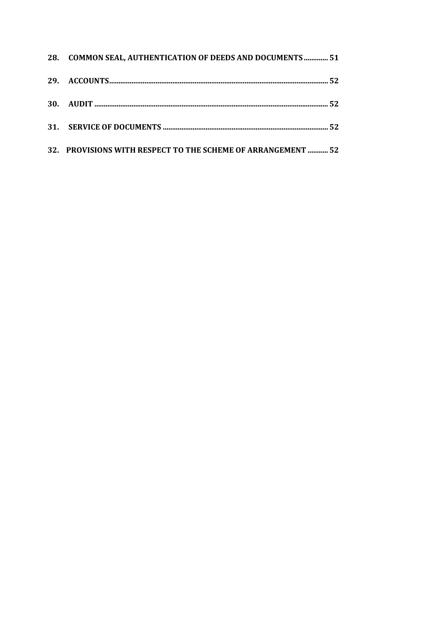| 28. COMMON SEAL, AUTHENTICATION OF DEEDS AND DOCUMENTS  51   |  |
|--------------------------------------------------------------|--|
|                                                              |  |
|                                                              |  |
|                                                              |  |
| 32. PROVISIONS WITH RESPECT TO THE SCHEME OF ARRANGEMENT  52 |  |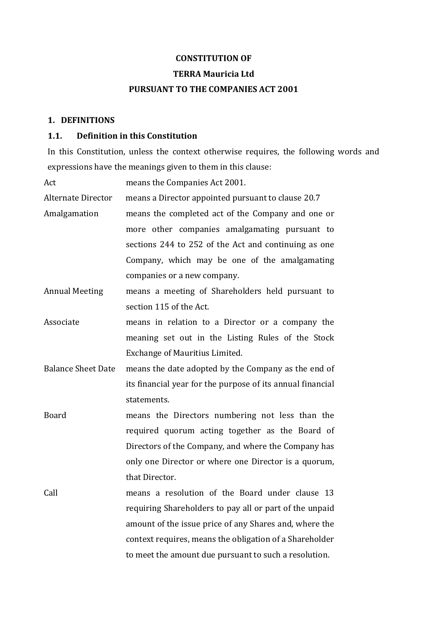#### **CONSTITUTION OF**

#### **TERRA Mauricia Ltd**

#### **PURSUANT TO THE COMPANIES ACT 2001**

#### **1. DEFINITIONS**

#### **1.1. Definition in this Constitution**

In this Constitution, unless the context otherwise requires, the following words and expressions have the meanings given to them in this clause:

Act means the Companies Act 2001.

Alternate Director means a Director appointed pursuant to clause 20.7

- Amalgamation means the completed act of the Company and one or more other companies amalgamating pursuant to sections 244 to 252 of the Act and continuing as one Company, which may be one of the amalgamating companies or a new company.
- Annual Meeting means a meeting of Shareholders held pursuant to section 115 of the Act.
- Associate **means** in relation to a Director or a company the meaning set out in the Listing Rules of the Stock Exchange of Mauritius Limited.
- Balance Sheet Date means the date adopted by the Company as the end of its financial year for the purpose of its annual financial statements.
- Board means the Directors numbering not less than the required quorum acting together as the Board of Directors of the Company, and where the Company has only one Director or where one Director is a quorum, that Director.
- Call The means a resolution of the Board under clause 13 requiring Shareholders to pay all or part of the unpaid amount of the issue price of any Shares and, where the context requires, means the obligation of a Shareholder to meet the amount due pursuant to such a resolution.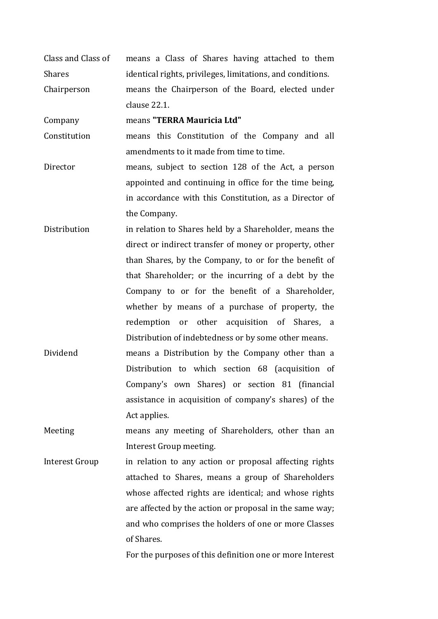Class and Class of Shares means a Class of Shares having attached to them identical rights, privileges, limitations, and conditions. Chairperson means the Chairperson of the Board, elected under clause 22.1.

Company means **"TERRA Mauricia Ltd"**

- Constitution means this Constitution of the Company and all amendments to it made from time to time.
- Director means, subject to section 128 of the Act, a person appointed and continuing in office for the time being, in accordance with this Constitution, as a Director of the Company.
- Distribution **in relation to Shares held by a Shareholder**, means the direct or indirect transfer of money or property, other than Shares, by the Company, to or for the benefit of that Shareholder; or the incurring of a debt by the Company to or for the benefit of a Shareholder, whether by means of a purchase of property, the redemption or other acquisition of Shares, a Distribution of indebtedness or by some other means.
- Dividend means a Distribution by the Company other than a Distribution to which section 68 (acquisition of Company's own Shares) or section 81 (financial assistance in acquisition of company's shares) of the Act applies.
- Meeting means any meeting of Shareholders, other than an Interest Group meeting.
- Interest Group in relation to any action or proposal affecting rights attached to Shares, means a group of Shareholders whose affected rights are identical; and whose rights are affected by the action or proposal in the same way; and who comprises the holders of one or more Classes of Shares.

For the purposes of this definition one or more Interest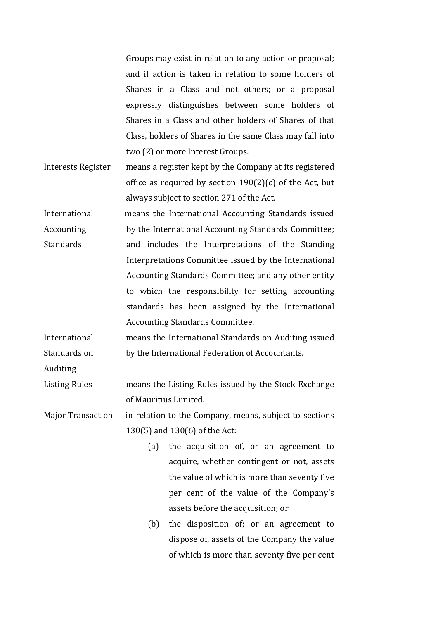Groups may exist in relation to any action or proposal; and if action is taken in relation to some holders of Shares in a Class and not others; or a proposal expressly distinguishes between some holders of Shares in a Class and other holders of Shares of that Class, holders of Shares in the same Class may fall into two (2) or more Interest Groups.

- Interests Register means a register kept by the Company at its registered office as required by section  $190(2)(c)$  of the Act, but always subject to section 271 of the Act.
- International Accounting Standards means the International Accounting Standards issued by the International Accounting Standards Committee; and includes the Interpretations of the Standing Interpretations Committee issued by the International Accounting Standards Committee; and any other entity to which the responsibility for setting accounting standards has been assigned by the International Accounting Standards Committee.

International Standards on means the International Standards on Auditing issued by the International Federation of Accountants.

Auditing 

Listing Rules The means the Listing Rules issued by the Stock Exchange of Mauritius Limited. 

Major Transaction in relation to the Company, means, subject to sections  $130(5)$  and  $130(6)$  of the Act:

- (a) the acquisition of, or an agreement to acquire, whether contingent or not, assets the value of which is more than seventy five per cent of the value of the Company's assets before the acquisition; or
- (b) the disposition of; or an agreement to dispose of, assets of the Company the value of which is more than seventy five per cent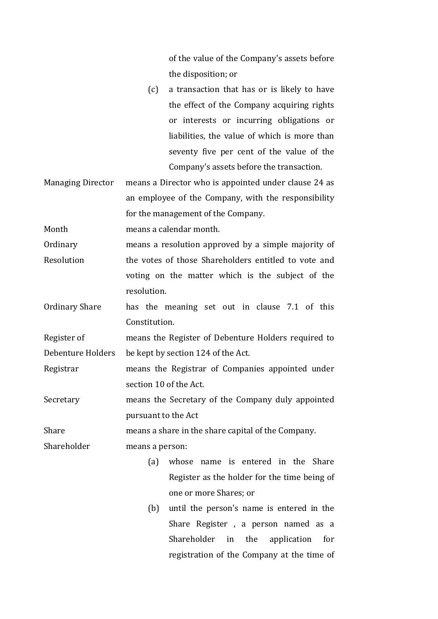of the value of the Company's assets before the disposition; or

- $(c)$  a transaction that has or is likely to have the effect of the Company acquiring rights or interests or incurring obligations or liabilities, the value of which is more than seventy five per cent of the value of the Company's assets before the transaction.
- Managing Director means a Director who is appointed under clause 24 as an employee of the Company, with the responsibility for the management of the Company.

Month means a calendar month.

- Ordinary Resolution means a resolution approved by a simple majority of the votes of those Shareholders entitled to vote and voting on the matter which is the subject of the resolution.
- Ordinary Share has the meaning set out in clause 7.1 of this Constitution.

Register of Debenture Holders means the Register of Debenture Holders required to be kept by section 124 of the Act.

- Registrar The means the Registrar of Companies appointed under section 10 of the Act.
- Secretary means the Secretary of the Company duly appointed pursuant to the Act

Share means a share in the share capital of the Company.

Shareholder means a person:

- (a) whose name is entered in the Share Register as the holder for the time being of one or more Shares; or
- $(b)$  until the person's name is entered in the Share Register, a person named as a Shareholder in the application for registration of the Company at the time of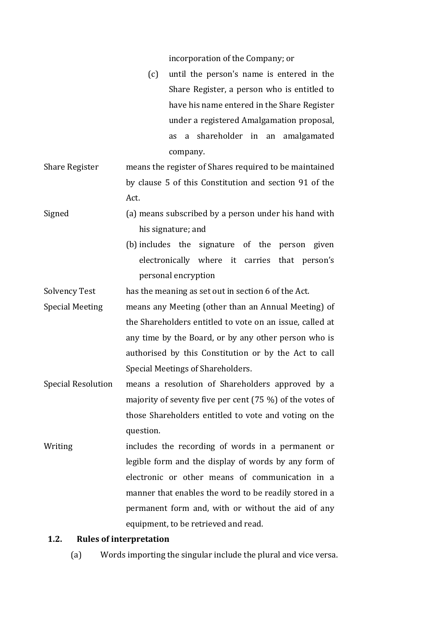incorporation of the Company; or

- $(c)$  until the person's name is entered in the Share Register, a person who is entitled to have his name entered in the Share Register under a registered Amalgamation proposal, as a shareholder in an amalgamated company.
- Share Register means the register of Shares required to be maintained by clause 5 of this Constitution and section 91 of the Act.
- Signed (a) means subscribed by a person under his hand with his signature; and
	- (b) includes the signature of the person given electronically where it carries that person's personal encryption

Solvency Test has the meaning as set out in section 6 of the Act.

- Special Meeting means any Meeting (other than an Annual Meeting) of the Shareholders entitled to vote on an issue, called at any time by the Board, or by any other person who is authorised by this Constitution or by the Act to call Special Meetings of Shareholders.
- Special Resolution means a resolution of Shareholders approved by a majority of seventy five per cent  $(75\%)$  of the votes of those Shareholders entitled to vote and voting on the question.
- Writing includes the recording of words in a permanent or legible form and the display of words by any form of electronic or other means of communication in a manner that enables the word to be readily stored in a permanent form and, with or without the aid of any equipment, to be retrieved and read.

#### **1.2. Rules of interpretation**

(a) Words importing the singular include the plural and vice versa.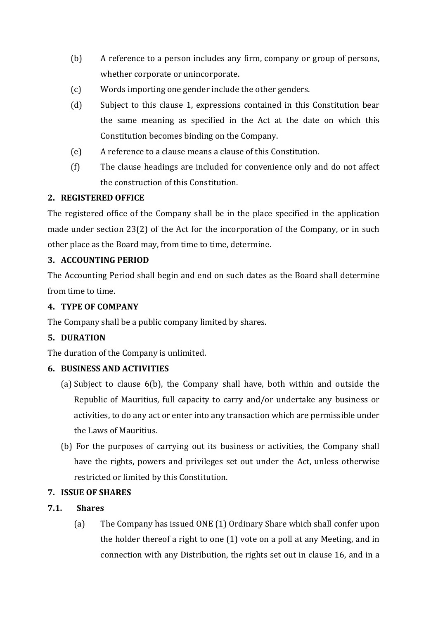- (b) A reference to a person includes any firm, company or group of persons, whether corporate or unincorporate.
- (c) Words importing one gender include the other genders.
- (d) Subject to this clause 1, expressions contained in this Constitution bear the same meaning as specified in the Act at the date on which this Constitution becomes binding on the Company.
- (e) A reference to a clause means a clause of this Constitution.
- (f) The clause headings are included for convenience only and do not affect the construction of this Constitution.

# **2. REGISTERED OFFICE**

The registered office of the Company shall be in the place specified in the application made under section  $23(2)$  of the Act for the incorporation of the Company, or in such other place as the Board may, from time to time, determine.

# **3. ACCOUNTING PERIOD**

The Accounting Period shall begin and end on such dates as the Board shall determine from time to time.

# **4. TYPE OF COMPANY**

The Company shall be a public company limited by shares.

# **5. DURATION**

The duration of the Company is unlimited.

# **6. BUSINESS AND ACTIVITIES**

- (a) Subject to clause  $6(b)$ , the Company shall have, both within and outside the Republic of Mauritius, full capacity to carry and/or undertake any business or activities, to do any act or enter into any transaction which are permissible under the Laws of Mauritius.
- (b) For the purposes of carrying out its business or activities, the Company shall have the rights, powers and privileges set out under the Act, unless otherwise restricted or limited by this Constitution.

# **7. ISSUE OF SHARES**

# **7.1. Shares**

(a) The Company has issued ONE (1) Ordinary Share which shall confer upon the holder thereof a right to one  $(1)$  vote on a poll at any Meeting, and in connection with any Distribution, the rights set out in clause 16, and in a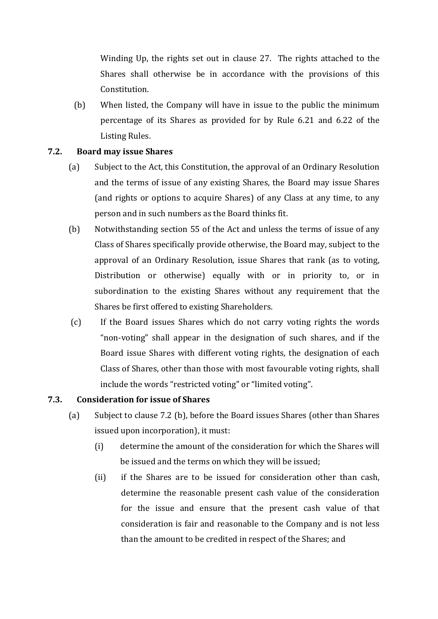Winding Up, the rights set out in clause 27. The rights attached to the Shares shall otherwise be in accordance with the provisions of this Constitution. 

(b) When listed, the Company will have in issue to the public the minimum percentage of its Shares as provided for by Rule 6.21 and 6.22 of the Listing Rules.

### **7.2. Board may issue Shares**

- (a) Subject to the Act, this Constitution, the approval of an Ordinary Resolution and the terms of issue of any existing Shares, the Board may issue Shares (and rights or options to acquire Shares) of any Class at any time, to any person and in such numbers as the Board thinks fit.
- (b) Notwithstanding section 55 of the Act and unless the terms of issue of any Class of Shares specifically provide otherwise, the Board may, subject to the approval of an Ordinary Resolution, issue Shares that rank (as to voting, Distribution or otherwise) equally with or in priority to, or in subordination to the existing Shares without any requirement that the Shares be first offered to existing Shareholders.
- (c) If the Board issues Shares which do not carry voting rights the words "non-voting" shall appear in the designation of such shares, and if the Board issue Shares with different voting rights, the designation of each Class of Shares, other than those with most favourable voting rights, shall include the words "restricted voting" or "limited voting".

### **7.3. Consideration for issue of Shares**

- (a) Subject to clause 7.2 (b), before the Board issues Shares (other than Shares issued upon incorporation), it must:
	- (i) determine the amount of the consideration for which the Shares will be issued and the terms on which they will be issued;
	- (ii) if the Shares are to be issued for consideration other than cash, determine the reasonable present cash value of the consideration for the issue and ensure that the present cash value of that consideration is fair and reasonable to the Company and is not less than the amount to be credited in respect of the Shares; and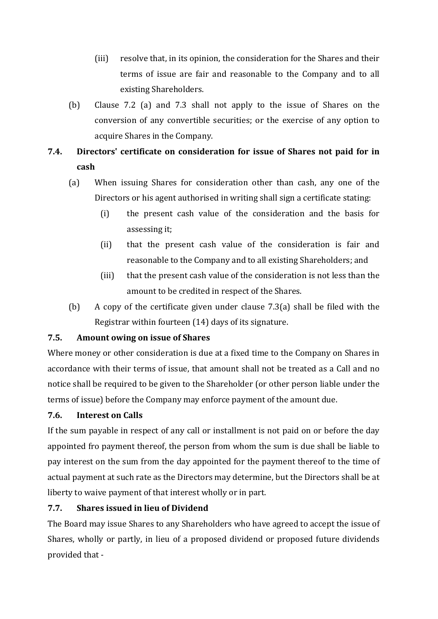- (iii) resolve that, in its opinion, the consideration for the Shares and their terms of issue are fair and reasonable to the Company and to all existing Shareholders.
- (b) Clause 7.2 (a) and 7.3 shall not apply to the issue of Shares on the conversion of any convertible securities; or the exercise of any option to acquire Shares in the Company.

# **7.4. Directors' certificate on consideration for issue of Shares not paid for in cash**

- (a) When issuing Shares for consideration other than cash, any one of the Directors or his agent authorised in writing shall sign a certificate stating:
	- (i) the present cash value of the consideration and the basis for assessing it:
	- (ii) that the present cash value of the consideration is fair and reasonable to the Company and to all existing Shareholders; and
	- (iii) that the present cash value of the consideration is not less than the amount to be credited in respect of the Shares.
- (b) A copy of the certificate given under clause 7.3(a) shall be filed with the Registrar within fourteen  $(14)$  days of its signature.

# **7.5. Amount owing on issue of Shares**

Where money or other consideration is due at a fixed time to the Company on Shares in accordance with their terms of issue, that amount shall not be treated as a Call and no notice shall be required to be given to the Shareholder (or other person liable under the terms of issue) before the Company may enforce payment of the amount due.

# **7.6. Interest on Calls**

If the sum payable in respect of any call or installment is not paid on or before the day appointed fro payment thereof, the person from whom the sum is due shall be liable to pay interest on the sum from the day appointed for the payment thereof to the time of actual payment at such rate as the Directors may determine, but the Directors shall be at liberty to waive payment of that interest wholly or in part.

# **7.7. Shares issued in lieu of Dividend**

The Board may issue Shares to any Shareholders who have agreed to accept the issue of Shares, wholly or partly, in lieu of a proposed dividend or proposed future dividends provided that -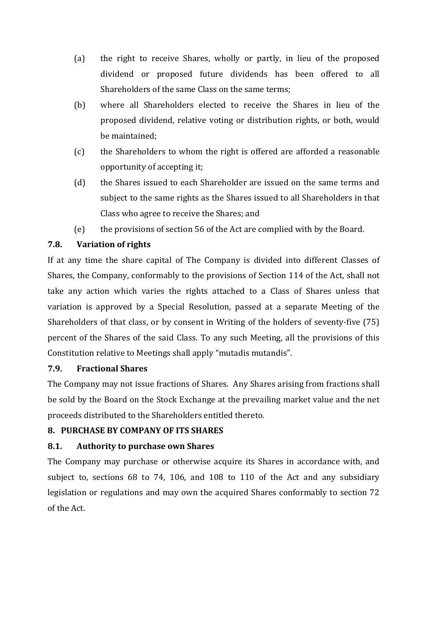- (a) the right to receive Shares, wholly or partly, in lieu of the proposed dividend or proposed future dividends has been offered to all Shareholders of the same Class on the same terms;
- (b) where all Shareholders elected to receive the Shares in lieu of the proposed dividend, relative voting or distribution rights, or both, would be maintained;
- (c) the Shareholders to whom the right is offered are afforded a reasonable opportunity of accepting it;
- (d) the Shares issued to each Shareholder are issued on the same terms and subject to the same rights as the Shares issued to all Shareholders in that Class who agree to receive the Shares; and
- (e) the provisions of section 56 of the Act are complied with by the Board.

# **7.8. Variation of rights**

If at any time the share capital of The Company is divided into different Classes of Shares, the Company, conformably to the provisions of Section 114 of the Act, shall not take any action which varies the rights attached to a Class of Shares unless that variation is approved by a Special Resolution, passed at a separate Meeting of the Shareholders of that class, or by consent in Writing of the holders of seventy-five  $(75)$ percent of the Shares of the said Class. To any such Meeting, all the provisions of this Constitution relative to Meetings shall apply "mutadis mutandis".

# **7.9. Fractional Shares**

The Company may not issue fractions of Shares. Any Shares arising from fractions shall be sold by the Board on the Stock Exchange at the prevailing market value and the net proceeds distributed to the Shareholders entitled thereto.

# **8. PURCHASE BY COMPANY OF ITS SHARES**

# **8.1. Authority to purchase own Shares**

The Company may purchase or otherwise acquire its Shares in accordance with, and subject to, sections  $68$  to  $74$ ,  $106$ , and  $108$  to  $110$  of the Act and any subsidiary legislation or regulations and may own the acquired Shares conformably to section 72 of the Act.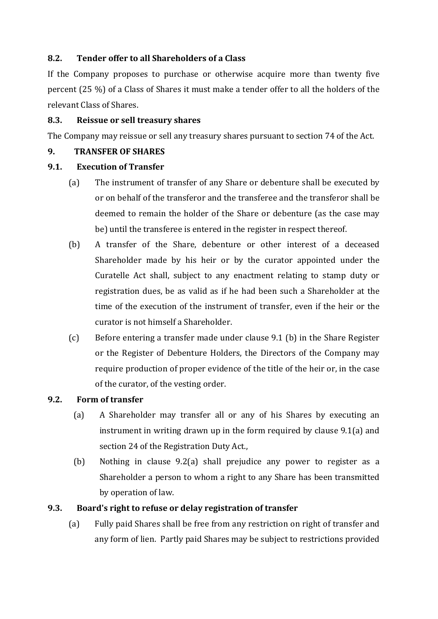### **8.2. Tender offer to all Shareholders of a Class**

If the Company proposes to purchase or otherwise acquire more than twenty five percent  $(25\%)$  of a Class of Shares it must make a tender offer to all the holders of the relevant Class of Shares.

### **8.3. Reissue or sell treasury shares**

The Company may reissue or sell any treasury shares pursuant to section 74 of the Act.

### **9. TRANSFER OF SHARES**

### **9.1. Execution of Transfer**

- (a) The instrument of transfer of any Share or debenture shall be executed by or on behalf of the transferor and the transferee and the transferor shall be deemed to remain the holder of the Share or debenture (as the case may be) until the transferee is entered in the register in respect thereof.
- (b) A transfer of the Share, debenture or other interest of a deceased Shareholder made by his heir or by the curator appointed under the Curatelle Act shall, subject to any enactment relating to stamp duty or registration dues, be as valid as if he had been such a Shareholder at the time of the execution of the instrument of transfer, even if the heir or the curator is not himself a Shareholder.
- (c) Before entering a transfer made under clause 9.1 (b) in the Share Register or the Register of Debenture Holders, the Directors of the Company may require production of proper evidence of the title of the heir or, in the case of the curator, of the vesting order.

# **9.2. Form of transfer**

- (a) A Shareholder may transfer all or any of his Shares by executing an instrument in writing drawn up in the form required by clause  $9.1(a)$  and section 24 of the Registration Duty Act.,
- (b) Nothing in clause  $9.2(a)$  shall prejudice any power to register as a Shareholder a person to whom a right to any Share has been transmitted by operation of law.

# **9.3. Board's right to refuse or delay registration of transfer**

(a) Fully paid Shares shall be free from any restriction on right of transfer and any form of lien. Partly paid Shares may be subject to restrictions provided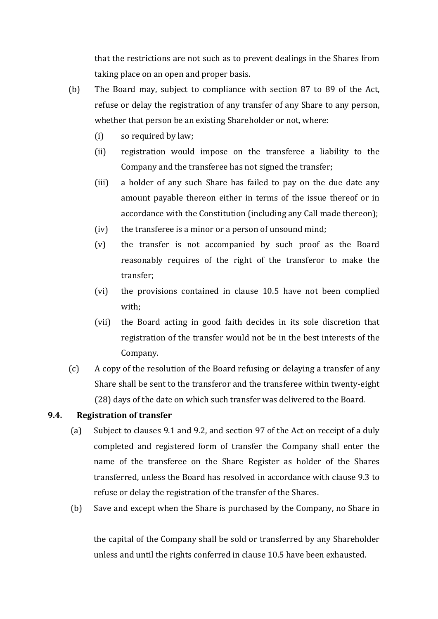that the restrictions are not such as to prevent dealings in the Shares from taking place on an open and proper basis.

(b) The Board may, subject to compliance with section 87 to 89 of the Act, refuse or delay the registration of any transfer of any Share to any person, whether that person be an existing Shareholder or not, where:

- (i) so required by law;
- (ii) registration would impose on the transferee a liability to the Company and the transferee has not signed the transfer;
- (iii) a holder of any such Share has failed to pay on the due date any amount payable thereon either in terms of the issue thereof or in accordance with the Constitution (including any Call made thereon);
- $(iv)$  the transferee is a minor or a person of unsound mind;
- $(v)$  the transfer is not accompanied by such proof as the Board reasonably requires of the right of the transferor to make the transfer;
- (vi) the provisions contained in clause 10.5 have not been complied with;
- (vii) the Board acting in good faith decides in its sole discretion that registration of the transfer would not be in the best interests of the Company.
- $(c)$  A copy of the resolution of the Board refusing or delaying a transfer of any Share shall be sent to the transferor and the transferee within twenty-eight (28) days of the date on which such transfer was delivered to the Board.

### **9.4. Registration of transfer**

- (a) Subject to clauses 9.1 and 9.2, and section 97 of the Act on receipt of a duly completed and registered form of transfer the Company shall enter the name of the transferee on the Share Register as holder of the Shares transferred, unless the Board has resolved in accordance with clause 9.3 to refuse or delay the registration of the transfer of the Shares.
- (b) Save and except when the Share is purchased by the Company, no Share in

the capital of the Company shall be sold or transferred by any Shareholder unless and until the rights conferred in clause 10.5 have been exhausted.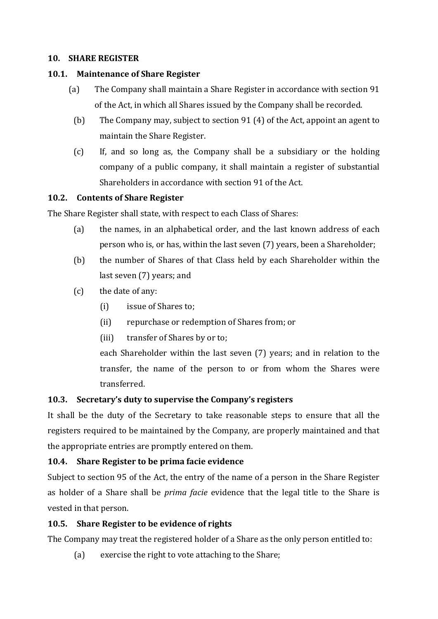### **10. SHARE REGISTER**

### **10.1. Maintenance of Share Register**

- (a) The Company shall maintain a Share Register in accordance with section 91 of the Act, in which all Shares issued by the Company shall be recorded.
	- (b) The Company may, subject to section 91 (4) of the Act, appoint an agent to maintain the Share Register.
	- (c) If, and so long as, the Company shall be a subsidiary or the holding company of a public company, it shall maintain a register of substantial Shareholders in accordance with section 91 of the Act.

### **10.2. Contents of Share Register**

The Share Register shall state, with respect to each Class of Shares:

- (a) the names, in an alphabetical order, and the last known address of each person who is, or has, within the last seven (7) years, been a Shareholder;
- (b) the number of Shares of that Class held by each Shareholder within the last seven (7) years; and
- $(c)$  the date of any:
	- (i) issue of Shares to;
	- (ii) repurchase or redemption of Shares from; or
	- (iii) transfer of Shares by or to;

each Shareholder within the last seven (7) years; and in relation to the transfer, the name of the person to or from whom the Shares were transferred. 

# **10.3. Secretary's duty to supervise the Company's registers**

It shall be the duty of the Secretary to take reasonable steps to ensure that all the registers required to be maintained by the Company, are properly maintained and that the appropriate entries are promptly entered on them.

# **10.4. Share Register to be prima facie evidence**

Subject to section 95 of the Act, the entry of the name of a person in the Share Register as holder of a Share shall be *prima facie* evidence that the legal title to the Share is vested in that person.

# **10.5. Share Register to be evidence of rights**

The Company may treat the registered holder of a Share as the only person entitled to:

(a) exercise the right to vote attaching to the Share;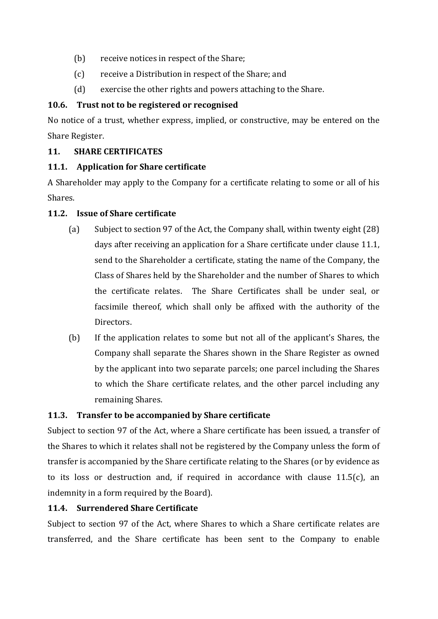- (b) receive notices in respect of the Share;
- (c) receive a Distribution in respect of the Share; and
- $(d)$  exercise the other rights and powers attaching to the Share.

# **10.6. Trust not to be registered or recognised**

No notice of a trust, whether express, implied, or constructive, may be entered on the Share Register.

# **11. SHARE CERTIFICATES**

# **11.1. Application for Share certificate**

A Shareholder may apply to the Company for a certificate relating to some or all of his Shares. 

# **11.2. Issue of Share certificate**

- (a) Subject to section 97 of the Act, the Company shall, within twenty eight  $(28)$ days after receiving an application for a Share certificate under clause 11.1, send to the Shareholder a certificate, stating the name of the Company, the Class of Shares held by the Shareholder and the number of Shares to which the certificate relates. The Share Certificates shall be under seal, or facsimile thereof, which shall only be affixed with the authority of the Directors.
- (b) If the application relates to some but not all of the applicant's Shares, the Company shall separate the Shares shown in the Share Register as owned by the applicant into two separate parcels; one parcel including the Shares to which the Share certificate relates, and the other parcel including any remaining Shares.

# **11.3. Transfer to be accompanied by Share certificate**

Subject to section 97 of the Act, where a Share certificate has been issued, a transfer of the Shares to which it relates shall not be registered by the Company unless the form of transfer is accompanied by the Share certificate relating to the Shares (or by evidence as to its loss or destruction and, if required in accordance with clause  $11.5(c)$ , an indemnity in a form required by the Board).

# **11.4. Surrendered Share Certificate**

Subject to section 97 of the Act, where Shares to which a Share certificate relates are transferred, and the Share certificate has been sent to the Company to enable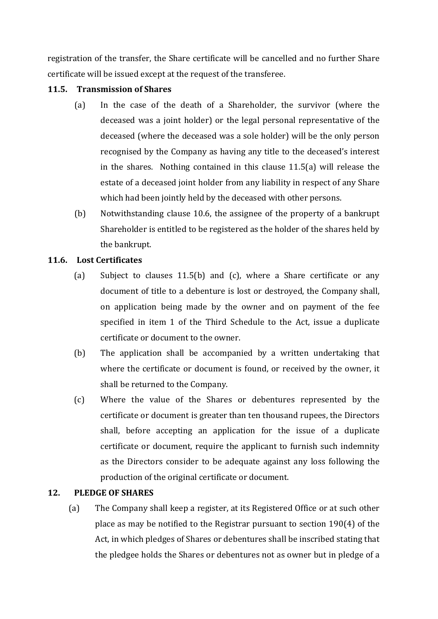registration of the transfer, the Share certificate will be cancelled and no further Share certificate will be issued except at the request of the transferee.

### **11.5. Transmission of Shares**

- (a) In the case of the death of a Shareholder, the survivor (where the deceased was a joint holder) or the legal personal representative of the deceased (where the deceased was a sole holder) will be the only person recognised by the Company as having any title to the deceased's interest in the shares. Nothing contained in this clause  $11.5(a)$  will release the estate of a deceased joint holder from any liability in respect of any Share which had been jointly held by the deceased with other persons.
- (b) Notwithstanding clause 10.6, the assignee of the property of a bankrupt Shareholder is entitled to be registered as the holder of the shares held by the bankrupt.

# **11.6. Lost Certificates**

- (a) Subject to clauses  $11.5(b)$  and (c), where a Share certificate or any document of title to a debenture is lost or destroyed, the Company shall, on application being made by the owner and on payment of the fee specified in item 1 of the Third Schedule to the Act, issue a duplicate certificate or document to the owner.
- (b) The application shall be accompanied by a written undertaking that where the certificate or document is found, or received by the owner, it shall be returned to the Company.
- (c) Where the value of the Shares or debentures represented by the certificate or document is greater than ten thousand rupees, the Directors shall, before accepting an application for the issue of a duplicate certificate or document, require the applicant to furnish such indemnity as the Directors consider to be adequate against any loss following the production of the original certificate or document.

# **12. PLEDGE OF SHARES**

(a) The Company shall keep a register, at its Registered Office or at such other place as may be notified to the Registrar pursuant to section  $190(4)$  of the Act, in which pledges of Shares or debentures shall be inscribed stating that the pledgee holds the Shares or debentures not as owner but in pledge of a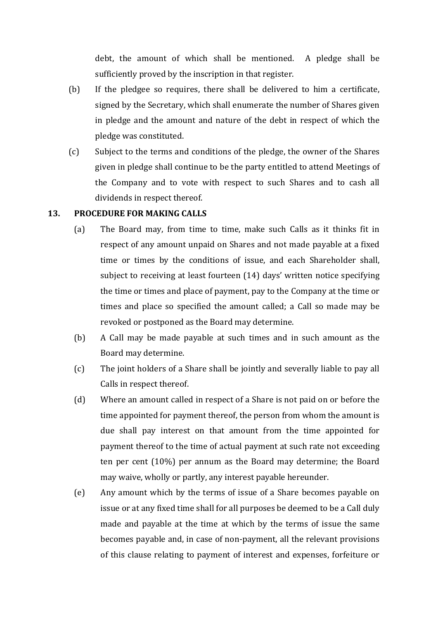debt, the amount of which shall be mentioned. A pledge shall be sufficiently proved by the inscription in that register.

- (b) If the pledgee so requires, there shall be delivered to him a certificate, signed by the Secretary, which shall enumerate the number of Shares given in pledge and the amount and nature of the debt in respect of which the pledge was constituted.
- (c) Subject to the terms and conditions of the pledge, the owner of the Shares given in pledge shall continue to be the party entitled to attend Meetings of the Company and to vote with respect to such Shares and to cash all dividends in respect thereof.

### **13. PROCEDURE FOR MAKING CALLS**

- (a) The Board may, from time to time, make such Calls as it thinks fit in respect of any amount unpaid on Shares and not made payable at a fixed time or times by the conditions of issue, and each Shareholder shall, subject to receiving at least fourteen (14) days' written notice specifying the time or times and place of payment, pay to the Company at the time or times and place so specified the amount called; a Call so made may be revoked or postponed as the Board may determine.
- (b) A Call may be made payable at such times and in such amount as the Board may determine.
- (c) The joint holders of a Share shall be jointly and severally liable to pay all Calls in respect thereof.
- (d) Where an amount called in respect of a Share is not paid on or before the time appointed for payment thereof, the person from whom the amount is due shall pay interest on that amount from the time appointed for payment thereof to the time of actual payment at such rate not exceeding ten per cent  $(10\%)$  per annum as the Board may determine; the Board may waive, wholly or partly, any interest payable hereunder.
- (e) Any amount which by the terms of issue of a Share becomes payable on issue or at any fixed time shall for all purposes be deemed to be a Call duly made and payable at the time at which by the terms of issue the same becomes payable and, in case of non-payment, all the relevant provisions of this clause relating to payment of interest and expenses, forfeiture or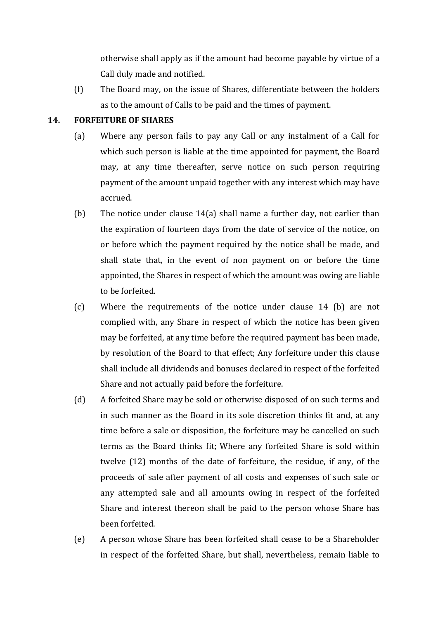otherwise shall apply as if the amount had become payable by virtue of a Call duly made and notified.

(f) The Board may, on the issue of Shares, differentiate between the holders as to the amount of Calls to be paid and the times of payment.

### **14. FORFEITURE OF SHARES**

- (a) Where any person fails to pay any Call or any instalment of a Call for which such person is liable at the time appointed for payment, the Board may, at any time thereafter, serve notice on such person requiring payment of the amount unpaid together with any interest which may have accrued.
- (b) The notice under clause  $14(a)$  shall name a further day, not earlier than the expiration of fourteen days from the date of service of the notice, on or before which the payment required by the notice shall be made, and shall state that, in the event of non payment on or before the time appointed, the Shares in respect of which the amount was owing are liable to be forfeited.
- (c) Where the requirements of the notice under clause 14 (b) are not complied with, any Share in respect of which the notice has been given may be forfeited, at any time before the required payment has been made. by resolution of the Board to that effect; Any forfeiture under this clause shall include all dividends and bonuses declared in respect of the forfeited Share and not actually paid before the forfeiture.
- (d) A forfeited Share may be sold or otherwise disposed of on such terms and in such manner as the Board in its sole discretion thinks fit and, at any time before a sale or disposition, the forfeiture may be cancelled on such terms as the Board thinks fit; Where any forfeited Share is sold within twelve  $(12)$  months of the date of forfeiture, the residue, if any, of the proceeds of sale after payment of all costs and expenses of such sale or any attempted sale and all amounts owing in respect of the forfeited Share and interest thereon shall be paid to the person whose Share has been forfeited.
- (e) A person whose Share has been forfeited shall cease to be a Shareholder in respect of the forfeited Share, but shall, nevertheless, remain liable to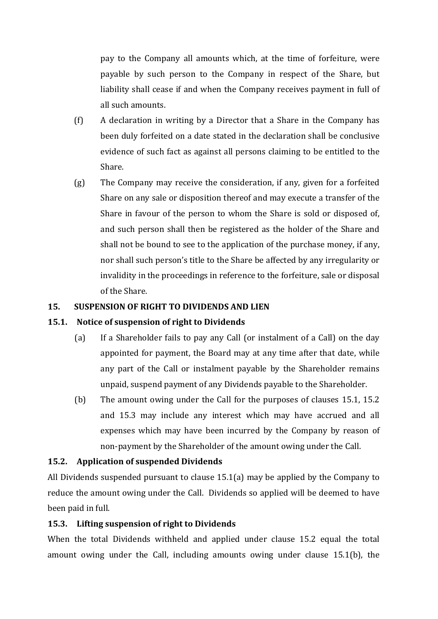pay to the Company all amounts which, at the time of forfeiture, were payable by such person to the Company in respect of the Share, but liability shall cease if and when the Company receives payment in full of all such amounts.

- $(f)$  A declaration in writing by a Director that a Share in the Company has been duly forfeited on a date stated in the declaration shall be conclusive evidence of such fact as against all persons claiming to be entitled to the Share.
- $(g)$  The Company may receive the consideration, if any, given for a forfeited Share on any sale or disposition thereof and may execute a transfer of the Share in favour of the person to whom the Share is sold or disposed of, and such person shall then be registered as the holder of the Share and shall not be bound to see to the application of the purchase money, if any, nor shall such person's title to the Share be affected by any irregularity or invalidity in the proceedings in reference to the forfeiture, sale or disposal of the Share.

### **15. SUSPENSION OF RIGHT TO DIVIDENDS AND LIEN**

### **15.1. Notice of suspension of right to Dividends**

- (a) If a Shareholder fails to pay any Call (or instalment of a Call) on the day appointed for payment, the Board may at any time after that date, while any part of the Call or instalment payable by the Shareholder remains unpaid, suspend payment of any Dividends payable to the Shareholder.
- (b) The amount owing under the Call for the purposes of clauses  $15.1$ ,  $15.2$ and 15.3 may include any interest which may have accrued and all expenses which may have been incurred by the Company by reason of non-payment by the Shareholder of the amount owing under the Call.

# **15.2. Application of suspended Dividends**

All Dividends suspended pursuant to clause  $15.1(a)$  may be applied by the Company to reduce the amount owing under the Call. Dividends so applied will be deemed to have been paid in full.

# **15.3. Lifting suspension of right to Dividends**

When the total Dividends withheld and applied under clause 15.2 equal the total amount owing under the Call, including amounts owing under clause  $15.1(b)$ , the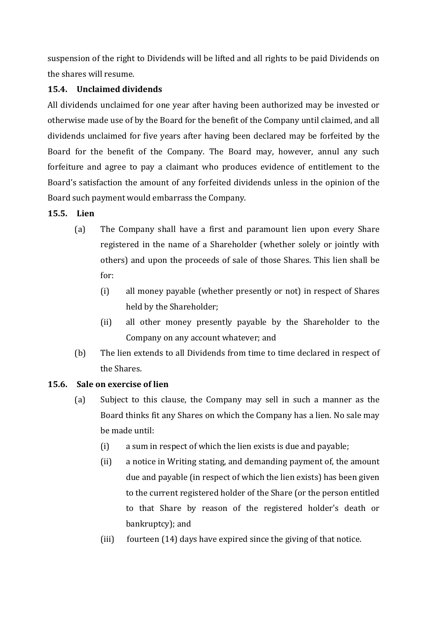suspension of the right to Dividends will be lifted and all rights to be paid Dividends on the shares will resume.

# **15.4. Unclaimed dividends**

All dividends unclaimed for one year after having been authorized may be invested or otherwise made use of by the Board for the benefit of the Company until claimed, and all dividends unclaimed for five years after having been declared may be forfeited by the Board for the benefit of the Company. The Board may, however, annul any such forfeiture and agree to pay a claimant who produces evidence of entitlement to the Board's satisfaction the amount of any forfeited dividends unless in the opinion of the Board such payment would embarrass the Company.

# **15.5. Lien**

- (a) The Company shall have a first and paramount lien upon every Share registered in the name of a Shareholder (whether solely or jointly with others) and upon the proceeds of sale of those Shares. This lien shall be for:
	- (i) all money payable (whether presently or not) in respect of Shares held by the Shareholder;
	- (ii) all other money presently payable by the Shareholder to the Company on any account whatever; and
- (b) The lien extends to all Dividends from time to time declared in respect of the Shares.

# **15.6. Sale on exercise of lien**

- (a) Subject to this clause, the Company may sell in such a manner as the Board thinks fit any Shares on which the Company has a lien. No sale may be made until:
	- $(i)$  a sum in respect of which the lien exists is due and payable;
	- (ii) a notice in Writing stating, and demanding payment of, the amount due and payable (in respect of which the lien exists) has been given to the current registered holder of the Share (or the person entitled to that Share by reason of the registered holder's death or bankruptcy); and
	- (iii) fourteen  $(14)$  days have expired since the giving of that notice.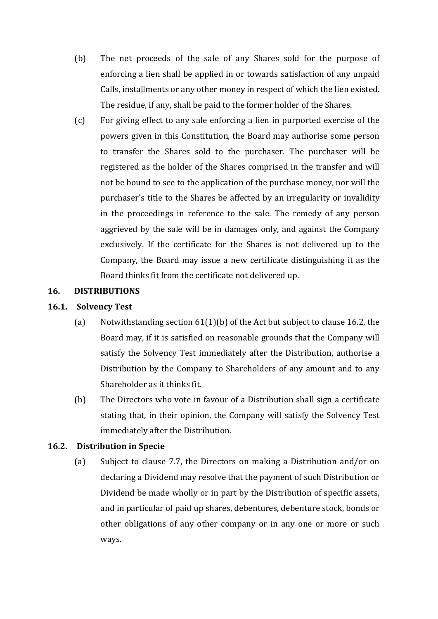- (b) The net proceeds of the sale of any Shares sold for the purpose of enforcing a lien shall be applied in or towards satisfaction of any unpaid Calls, installments or any other money in respect of which the lien existed. The residue, if any, shall be paid to the former holder of the Shares.
- (c) For giving effect to any sale enforcing a lien in purported exercise of the powers given in this Constitution, the Board may authorise some person to transfer the Shares sold to the purchaser. The purchaser will be registered as the holder of the Shares comprised in the transfer and will not be bound to see to the application of the purchase money, nor will the purchaser's title to the Shares be affected by an irregularity or invalidity in the proceedings in reference to the sale. The remedy of any person aggrieved by the sale will be in damages only, and against the Company exclusively. If the certificate for the Shares is not delivered up to the Company, the Board may issue a new certificate distinguishing it as the Board thinks fit from the certificate not delivered up.

### **16. DISTRIBUTIONS**

### **16.1. Solvency Test**

- (a) Notwithstanding section  $61(1)(b)$  of the Act but subject to clause 16.2, the Board may, if it is satisfied on reasonable grounds that the Company will satisfy the Solvency Test immediately after the Distribution, authorise a Distribution by the Company to Shareholders of any amount and to any Shareholder as it thinks fit.
- (b) The Directors who vote in favour of a Distribution shall sign a certificate stating that, in their opinion, the Company will satisfy the Solvency Test immediately after the Distribution.

### **16.2. Distribution in Specie**

(a) Subject to clause 7.7, the Directors on making a Distribution and/or on declaring a Dividend may resolve that the payment of such Distribution or Dividend be made wholly or in part by the Distribution of specific assets, and in particular of paid up shares, debentures, debenture stock, bonds or other obligations of any other company or in any one or more or such ways.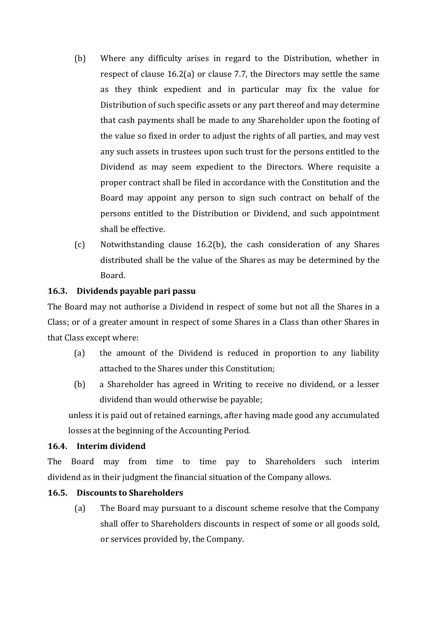- (b) Where any difficulty arises in regard to the Distribution, whether in respect of clause  $16.2(a)$  or clause 7.7, the Directors may settle the same as they think expedient and in particular may fix the value for Distribution of such specific assets or any part thereof and may determine that cash payments shall be made to any Shareholder upon the footing of the value so fixed in order to adjust the rights of all parties, and may vest any such assets in trustees upon such trust for the persons entitled to the Dividend as may seem expedient to the Directors. Where requisite a proper contract shall be filed in accordance with the Constitution and the Board may appoint any person to sign such contract on behalf of the persons entitled to the Distribution or Dividend, and such appointment shall be effective.
- (c) Notwithstanding clause  $16.2(b)$ , the cash consideration of any Shares distributed shall be the value of the Shares as may be determined by the Board.

### **16.3. Dividends payable pari passu**

The Board may not authorise a Dividend in respect of some but not all the Shares in a Class; or of a greater amount in respect of some Shares in a Class than other Shares in that Class except where:

- $(a)$  the amount of the Dividend is reduced in proportion to any liability attached to the Shares under this Constitution:
- (b) a Shareholder has agreed in Writing to receive no dividend, or a lesser dividend than would otherwise be payable;

unless it is paid out of retained earnings, after having made good any accumulated losses at the beginning of the Accounting Period.

### **16.4. Interim dividend**

The Board may from time to time pay to Shareholders such interim dividend as in their judgment the financial situation of the Company allows.

# **16.5. Discounts to Shareholders**

(a) The Board may pursuant to a discount scheme resolve that the Company shall offer to Shareholders discounts in respect of some or all goods sold, or services provided by, the Company.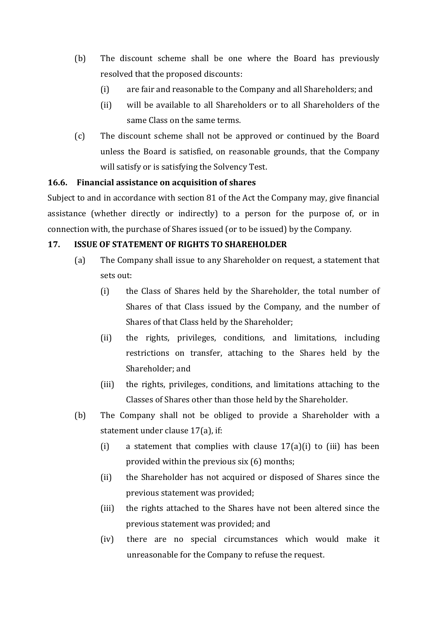- (b) The discount scheme shall be one where the Board has previously resolved that the proposed discounts:
	- (i) are fair and reasonable to the Company and all Shareholders; and
	- (ii) will be available to all Shareholders or to all Shareholders of the same Class on the same terms.
- (c) The discount scheme shall not be approved or continued by the Board unless the Board is satisfied, on reasonable grounds, that the Company will satisfy or is satisfying the Solvency Test.

# **16.6. Financial assistance on acquisition of shares**

Subject to and in accordance with section 81 of the Act the Company may, give financial assistance (whether directly or indirectly) to a person for the purpose of, or in connection with, the purchase of Shares issued (or to be issued) by the Company.

# **17. ISSUE OF STATEMENT OF RIGHTS TO SHAREHOLDER**

- (a) The Company shall issue to any Shareholder on request, a statement that sets out:
	- (i) the Class of Shares held by the Shareholder, the total number of Shares of that Class issued by the Company, and the number of Shares of that Class held by the Shareholder;
	- (ii) the rights, privileges, conditions, and limitations, including restrictions on transfer, attaching to the Shares held by the Shareholder; and
	- (iii) the rights, privileges, conditions, and limitations attaching to the Classes of Shares other than those held by the Shareholder.
- (b) The Company shall not be obliged to provide a Shareholder with a statement under clause  $17(a)$ , if:
	- (i) a statement that complies with clause  $17(a)(i)$  to (iii) has been provided within the previous  $s$ ix  $(6)$  months;
	- (ii) the Shareholder has not acquired or disposed of Shares since the previous statement was provided;
	- (iii) the rights attached to the Shares have not been altered since the previous statement was provided; and
	- (iv) there are no special circumstances which would make it unreasonable for the Company to refuse the request.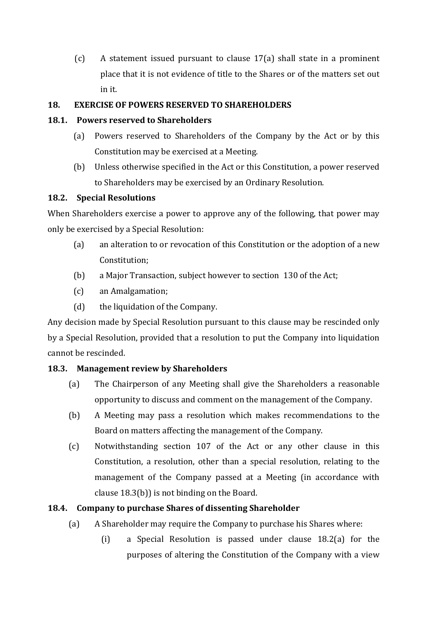(c) A statement issued pursuant to clause  $17(a)$  shall state in a prominent place that it is not evidence of title to the Shares or of the matters set out in it. 

# **18. EXERCISE OF POWERS RESERVED TO SHAREHOLDERS**

# **18.1. Powers reserved to Shareholders**

- (a) Powers reserved to Shareholders of the Company by the Act or by this Constitution may be exercised at a Meeting.
- (b) Unless otherwise specified in the Act or this Constitution, a power reserved to Shareholders may be exercised by an Ordinary Resolution.

# **18.2. Special Resolutions**

When Shareholders exercise a power to approve any of the following, that power may only be exercised by a Special Resolution:

- (a) an alteration to or revocation of this Constitution or the adoption of a new Constitution;
- (b) a Major Transaction, subject however to section 130 of the Act;
- (c) an Amalgamation;
- $(d)$  the liquidation of the Company.

Any decision made by Special Resolution pursuant to this clause may be rescinded only by a Special Resolution, provided that a resolution to put the Company into liquidation cannot be rescinded.

# **18.3. Management review by Shareholders**

- (a) The Chairperson of any Meeting shall give the Shareholders a reasonable opportunity to discuss and comment on the management of the Company.
- (b) A Meeting may pass a resolution which makes recommendations to the Board on matters affecting the management of the Company.
- (c) Notwithstanding section 107 of the Act or any other clause in this Constitution, a resolution, other than a special resolution, relating to the management of the Company passed at a Meeting (in accordance with clause  $18.3(b)$ ) is not binding on the Board.

# **18.4. Company to purchase Shares of dissenting Shareholder**

- (a) A Shareholder may require the Company to purchase his Shares where:
	- (i) a Special Resolution is passed under clause  $18.2(a)$  for the purposes of altering the Constitution of the Company with a view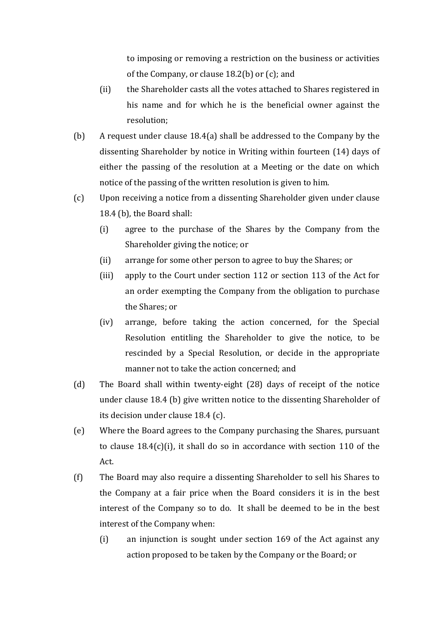to imposing or removing a restriction on the business or activities of the Company, or clause  $18.2(b)$  or  $(c)$ ; and

- (ii) the Shareholder casts all the votes attached to Shares registered in his name and for which he is the beneficial owner against the resolution;
- (b) A request under clause  $18.4(a)$  shall be addressed to the Company by the dissenting Shareholder by notice in Writing within fourteen (14) days of either the passing of the resolution at a Meeting or the date on which notice of the passing of the written resolution is given to him.
- (c) Upon receiving a notice from a dissenting Shareholder given under clause 18.4 (b), the Board shall:
	- (i) agree to the purchase of the Shares by the Company from the Shareholder giving the notice; or
	- (ii) arrange for some other person to agree to buy the Shares; or
	- (iii) apply to the Court under section 112 or section 113 of the Act for an order exempting the Company from the obligation to purchase the Shares; or
	- (iv) arrange, before taking the action concerned, for the Special Resolution entitling the Shareholder to give the notice, to be rescinded by a Special Resolution, or decide in the appropriate manner not to take the action concerned; and
- (d) The Board shall within twenty-eight  $(28)$  days of receipt of the notice under clause 18.4 (b) give written notice to the dissenting Shareholder of its decision under clause 18.4 (c).
- (e) Where the Board agrees to the Company purchasing the Shares, pursuant to clause  $18.4(c)(i)$ , it shall do so in accordance with section 110 of the Act.
- (f) The Board may also require a dissenting Shareholder to sell his Shares to the Company at a fair price when the Board considers it is in the best interest of the Company so to do. It shall be deemed to be in the best interest of the Company when:
	- $(i)$  an injunction is sought under section 169 of the Act against any action proposed to be taken by the Company or the Board; or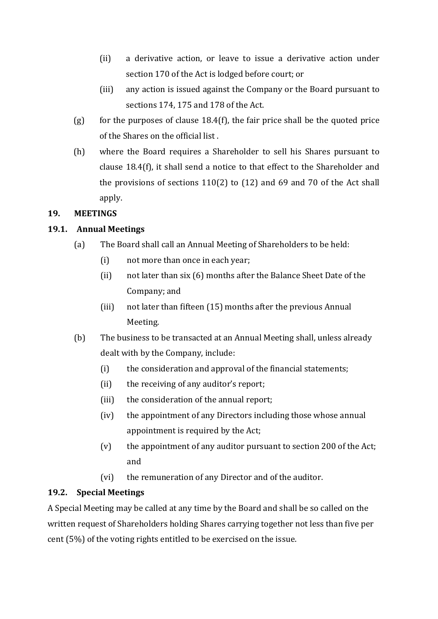- (ii) a derivative action, or leave to issue a derivative action under section 170 of the Act is lodged before court; or
- (iii) any action is issued against the Company or the Board pursuant to sections 174, 175 and 178 of the Act.
- (g) for the purposes of clause  $18.4(f)$ , the fair price shall be the quoted price of the Shares on the official list.
- (h) where the Board requires a Shareholder to sell his Shares pursuant to clause  $18.4(f)$ , it shall send a notice to that effect to the Shareholder and the provisions of sections  $110(2)$  to  $(12)$  and 69 and 70 of the Act shall apply.

# **19. MEETINGS**

# **19.1. Annual Meetings**

- (a) The Board shall call an Annual Meeting of Shareholders to be held:
	- (i) not more than once in each year;
	- (ii) not later than six (6) months after the Balance Sheet Date of the Company; and
	- $(iii)$  not later than fifteen  $(15)$  months after the previous Annual Meeting.
- (b) The business to be transacted at an Annual Meeting shall, unless already dealt with by the Company, include:
	- $(i)$  the consideration and approval of the financial statements;
	- $(i)$  the receiving of any auditor's report;
	- (iii) the consideration of the annual report;
	- (iv) the appointment of any Directors including those whose annual appointment is required by the Act;
	- $(v)$  the appointment of any auditor pursuant to section 200 of the Act; and
	- (vi) the remuneration of any Director and of the auditor.

# **19.2. Special Meetings**

A Special Meeting may be called at any time by the Board and shall be so called on the written request of Shareholders holding Shares carrying together not less than five per cent  $(5\%)$  of the voting rights entitled to be exercised on the issue.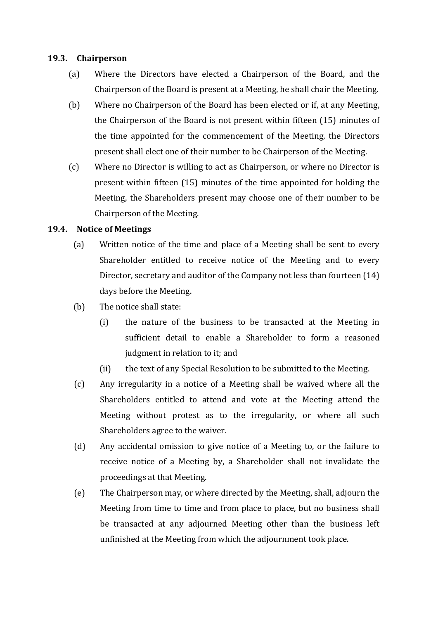#### 19.3. **Chairperson**

- (a) Where the Directors have elected a Chairperson of the Board, and the Chairperson of the Board is present at a Meeting, he shall chair the Meeting.
- (b) Where no Chairperson of the Board has been elected or if, at any Meeting, the Chairperson of the Board is not present within fifteen (15) minutes of the time appointed for the commencement of the Meeting, the Directors present shall elect one of their number to be Chairperson of the Meeting.
- (c) Where no Director is willing to act as Chairperson, or where no Director is present within fifteen  $(15)$  minutes of the time appointed for holding the Meeting, the Shareholders present may choose one of their number to be Chairperson of the Meeting.

### **19.4. Notice of Meetings**

- (a) Written notice of the time and place of a Meeting shall be sent to every Shareholder entitled to receive notice of the Meeting and to every Director, secretary and auditor of the Company not less than fourteen  $(14)$ days before the Meeting.
- (b) The notice shall state:
	- (i) the nature of the business to be transacted at the Meeting in sufficient detail to enable a Shareholder to form a reasoned judgment in relation to it; and
	- (ii) the text of any Special Resolution to be submitted to the Meeting.
- (c) Any irregularity in a notice of a Meeting shall be waived where all the Shareholders entitled to attend and vote at the Meeting attend the Meeting without protest as to the irregularity, or where all such Shareholders agree to the waiver.
- (d) Any accidental omission to give notice of a Meeting to, or the failure to receive notice of a Meeting by, a Shareholder shall not invalidate the proceedings at that Meeting.
- (e) The Chairperson may, or where directed by the Meeting, shall, adjourn the Meeting from time to time and from place to place, but no business shall be transacted at any adjourned Meeting other than the business left unfinished at the Meeting from which the adjournment took place.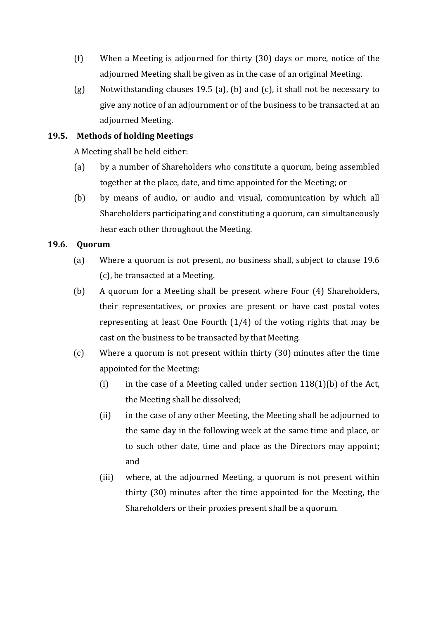- (f) When a Meeting is adjourned for thirty  $(30)$  days or more, notice of the adjourned Meeting shall be given as in the case of an original Meeting.
- (g) Notwithstanding clauses 19.5 (a), (b) and (c), it shall not be necessary to give any notice of an adjournment or of the business to be transacted at an adjourned Meeting.

# **19.5. Methods of holding Meetings**

A Meeting shall be held either:

- (a) by a number of Shareholders who constitute a quorum, being assembled together at the place, date, and time appointed for the Meeting; or
- (b) by means of audio, or audio and visual, communication by which all Shareholders participating and constituting a quorum, can simultaneously hear each other throughout the Meeting.

# **19.6. Quorum**

- (a) Where a quorum is not present, no business shall, subject to clause 19.6 (c), be transacted at a Meeting.
- (b) A quorum for a Meeting shall be present where Four  $(4)$  Shareholders, their representatives, or proxies are present or have cast postal votes representing at least One Fourth  $(1/4)$  of the voting rights that may be cast on the business to be transacted by that Meeting.
- (c) Where a quorum is not present within thirty  $(30)$  minutes after the time appointed for the Meeting:
	- (i) in the case of a Meeting called under section  $118(1)(b)$  of the Act, the Meeting shall be dissolved;
	- (ii) in the case of any other Meeting, the Meeting shall be adjourned to the same day in the following week at the same time and place, or to such other date, time and place as the Directors may appoint; and
	- (iii) where, at the adjourned Meeting, a quorum is not present within thirty (30) minutes after the time appointed for the Meeting, the Shareholders or their proxies present shall be a quorum.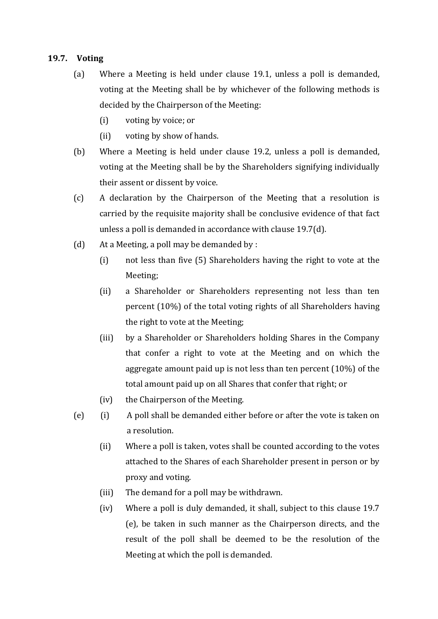### **19.7. Voting**

- (a) Where a Meeting is held under clause 19.1, unless a poll is demanded, voting at the Meeting shall be by whichever of the following methods is decided by the Chairperson of the Meeting:
	- (i) voting by voice; or
	- (ii) voting by show of hands.
- (b) Where a Meeting is held under clause 19.2, unless a poll is demanded, voting at the Meeting shall be by the Shareholders signifying individually their assent or dissent by voice.
- (c) A declaration by the Chairperson of the Meeting that a resolution is carried by the requisite majority shall be conclusive evidence of that fact unless a poll is demanded in accordance with clause 19.7(d).
- (d) At a Meeting, a poll may be demanded by :
	- (i) not less than five  $(5)$  Shareholders having the right to vote at the Meeting;
	- (ii) a Shareholder or Shareholders representing not less than ten percent  $(10\%)$  of the total voting rights of all Shareholders having the right to vote at the Meeting;
	- (iii) by a Shareholder or Shareholders holding Shares in the Company that confer a right to vote at the Meeting and on which the aggregate amount paid up is not less than ten percent  $(10\%)$  of the total amount paid up on all Shares that confer that right; or
	- (iv) the Chairperson of the Meeting.
- (e) (i) A poll shall be demanded either before or after the vote is taken on a resolution.
	- (ii) Where a poll is taken, votes shall be counted according to the votes attached to the Shares of each Shareholder present in person or by proxy and voting.
	- (iii) The demand for a poll may be withdrawn.
	- (iv) Where a poll is duly demanded, it shall, subject to this clause 19.7 (e), be taken in such manner as the Chairperson directs, and the result of the poll shall be deemed to be the resolution of the Meeting at which the poll is demanded.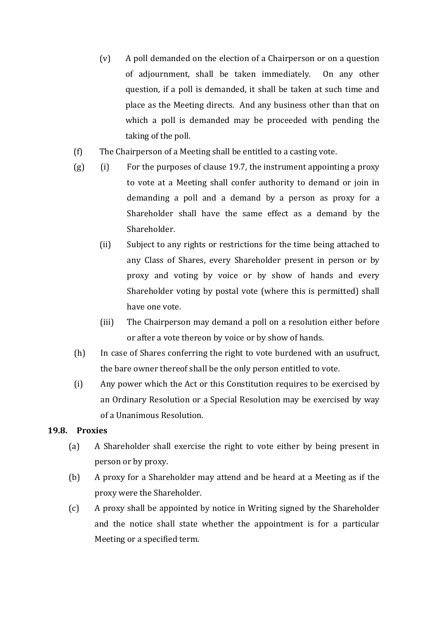- $(v)$  A poll demanded on the election of a Chairperson or on a question of adjournment, shall be taken immediately. On any other question, if a poll is demanded, it shall be taken at such time and place as the Meeting directs. And any business other than that on which a poll is demanded may be proceeded with pending the taking of the poll.
- (f) The Chairperson of a Meeting shall be entitled to a casting vote.
- $(g)$  (i) For the purposes of clause 19.7, the instrument appointing a proxy to vote at a Meeting shall confer authority to demand or join in demanding a poll and a demand by a person as proxy for a Shareholder shall have the same effect as a demand by the Shareholder.
	- (ii) Subject to any rights or restrictions for the time being attached to any Class of Shares, every Shareholder present in person or by proxy and voting by voice or by show of hands and every Shareholder voting by postal vote (where this is permitted) shall have one vote.
	- (iii) The Chairperson may demand a poll on a resolution either before or after a vote thereon by voice or by show of hands.
- (h) In case of Shares conferring the right to vote burdened with an usufruct, the bare owner thereof shall be the only person entitled to vote.
- (i) Any power which the Act or this Constitution requires to be exercised by an Ordinary Resolution or a Special Resolution may be exercised by way of a Unanimous Resolution.

# **19.8. Proxies**

- (a) A Shareholder shall exercise the right to vote either by being present in person or by proxy.
- (b) A proxy for a Shareholder may attend and be heard at a Meeting as if the proxy were the Shareholder.
- (c) A proxy shall be appointed by notice in Writing signed by the Shareholder and the notice shall state whether the appointment is for a particular Meeting or a specified term.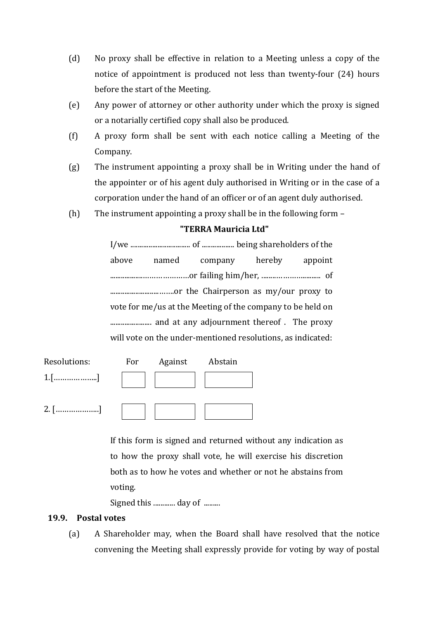- (d) No proxy shall be effective in relation to a Meeting unless a copy of the notice of appointment is produced not less than twenty-four  $(24)$  hours before the start of the Meeting.
- (e) Any power of attorney or other authority under which the proxy is signed or a notarially certified copy shall also be produced.
- $(f)$  A proxy form shall be sent with each notice calling a Meeting of the Company.
- $(g)$  The instrument appointing a proxy shall be in Writing under the hand of the appointer or of his agent duly authorised in Writing or in the case of a corporation under the hand of an officer or of an agent duly authorised.
- (h) The instrument appointing a proxy shall be in the following form  $-$

# **"TERRA Mauricia Ltd"**

I/we ................................. of .................. being shareholders of the above named company hereby appoint ..................…………………or failing him/her, ........………….......... of ...........................…….or the Chairperson as my/our proxy to vote for me/us at the Meeting of the company to be held on ....................... and at any adjournment thereof . The proxy will vote on the under-mentioned resolutions, as indicated:

| Resolutions: | For | Against | Abstain |
|--------------|-----|---------|---------|
| $1.$ []      |     |         |         |
|              |     |         |         |
| $2.$ []      |     |         |         |

If this form is signed and returned without any indication as to how the proxy shall vote, he will exercise his discretion both as to how he votes and whether or not he abstains from voting. 

Signed this ............. day of .........

# **19.9. Postal votes**

(a) A Shareholder may, when the Board shall have resolved that the notice convening the Meeting shall expressly provide for voting by way of postal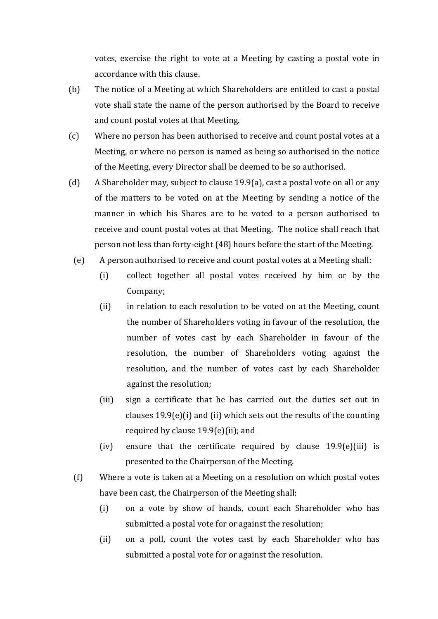votes, exercise the right to vote at a Meeting by casting a postal vote in accordance with this clause.

- (b) The notice of a Meeting at which Shareholders are entitled to cast a postal vote shall state the name of the person authorised by the Board to receive and count postal votes at that Meeting.
- (c) Where no person has been authorised to receive and count postal votes at a Meeting, or where no person is named as being so authorised in the notice of the Meeting, every Director shall be deemed to be so authorised.
- (d) A Shareholder may, subject to clause  $19.9(a)$ , cast a postal vote on all or any of the matters to be voted on at the Meeting by sending a notice of the manner in which his Shares are to be voted to a person authorised to receive and count postal votes at that Meeting. The notice shall reach that person not less than forty-eight (48) hours before the start of the Meeting.
- (e) A person authorised to receive and count postal votes at a Meeting shall:
	- (i) collect together all postal votes received by him or by the Company;
	- (ii) in relation to each resolution to be voted on at the Meeting, count the number of Shareholders voting in favour of the resolution, the number of votes cast by each Shareholder in favour of the resolution, the number of Shareholders voting against the resolution, and the number of votes cast by each Shareholder against the resolution;
	- (iii) sign a certificate that he has carried out the duties set out in clauses  $19.9(e)(i)$  and (ii) which sets out the results of the counting required by clause  $19.9(e)$ (ii); and
	- (iv) ensure that the certificate required by clause  $19.9(e)$ (iii) is presented to the Chairperson of the Meeting.
- $(f)$  Where a vote is taken at a Meeting on a resolution on which postal votes have been cast, the Chairperson of the Meeting shall:
	- (i) on a vote by show of hands, count each Shareholder who has submitted a postal vote for or against the resolution;
	- (ii) on a poll, count the votes cast by each Shareholder who has submitted a postal vote for or against the resolution.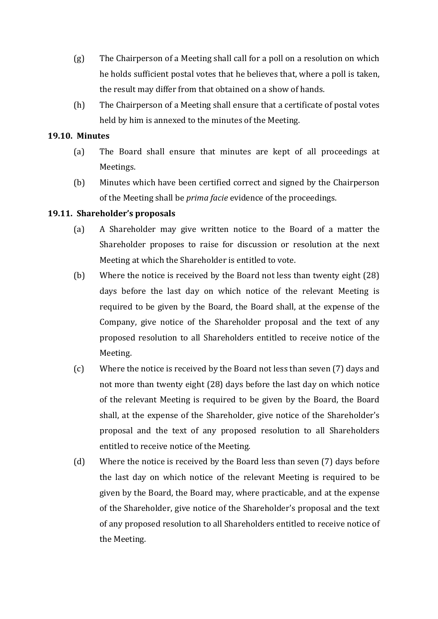- (g) The Chairperson of a Meeting shall call for a poll on a resolution on which he holds sufficient postal votes that he believes that, where a poll is taken, the result may differ from that obtained on a show of hands.
- (h) The Chairperson of a Meeting shall ensure that a certificate of postal votes held by him is annexed to the minutes of the Meeting.

#### **19.10. Minutes**

- (a) The Board shall ensure that minutes are kept of all proceedings at Meetings.
- (b) Minutes which have been certified correct and signed by the Chairperson of the Meeting shall be *prima facie* evidence of the proceedings.

### **19.11. Shareholder's proposals**

- (a) A Shareholder may give written notice to the Board of a matter the Shareholder proposes to raise for discussion or resolution at the next Meeting at which the Shareholder is entitled to vote.
- (b) Where the notice is received by the Board not less than twenty eight  $(28)$ days before the last day on which notice of the relevant Meeting is required to be given by the Board, the Board shall, at the expense of the Company, give notice of the Shareholder proposal and the text of any proposed resolution to all Shareholders entitled to receive notice of the Meeting.
- (c) Where the notice is received by the Board not less than seven (7) days and not more than twenty eight  $(28)$  days before the last day on which notice of the relevant Meeting is required to be given by the Board, the Board shall, at the expense of the Shareholder, give notice of the Shareholder's proposal and the text of any proposed resolution to all Shareholders entitled to receive notice of the Meeting.
- (d) Where the notice is received by the Board less than seven (7) days before the last day on which notice of the relevant Meeting is required to be given by the Board, the Board may, where practicable, and at the expense of the Shareholder, give notice of the Shareholder's proposal and the text of any proposed resolution to all Shareholders entitled to receive notice of the Meeting.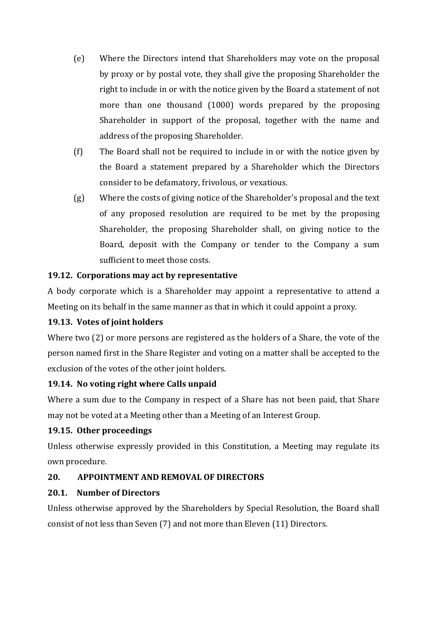- (e) Where the Directors intend that Shareholders may vote on the proposal by proxy or by postal vote, they shall give the proposing Shareholder the right to include in or with the notice given by the Board a statement of not more than one thousand  $(1000)$  words prepared by the proposing Shareholder in support of the proposal, together with the name and address of the proposing Shareholder.
- (f) The Board shall not be required to include in or with the notice given by the Board a statement prepared by a Shareholder which the Directors consider to be defamatory, frivolous, or vexatious.
- (g) Where the costs of giving notice of the Shareholder's proposal and the text of any proposed resolution are required to be met by the proposing Shareholder, the proposing Shareholder shall, on giving notice to the Board, deposit with the Company or tender to the Company a sum sufficient to meet those costs.

# **19.12. Corporations may act by representative**

A body corporate which is a Shareholder may appoint a representative to attend a Meeting on its behalf in the same manner as that in which it could appoint a proxy.

# **19.13. Votes of joint holders**

Where two  $(2)$  or more persons are registered as the holders of a Share, the vote of the person named first in the Share Register and voting on a matter shall be accepted to the exclusion of the votes of the other joint holders.

# **19.14. No voting right where Calls unpaid**

Where a sum due to the Company in respect of a Share has not been paid, that Share may not be voted at a Meeting other than a Meeting of an Interest Group.

# **19.15. Other proceedings**

Unless otherwise expressly provided in this Constitution, a Meeting may regulate its own procedure.

# **20. APPOINTMENT AND REMOVAL OF DIRECTORS**

# **20.1. Number of Directors**

Unless otherwise approved by the Shareholders by Special Resolution, the Board shall consist of not less than Seven (7) and not more than Eleven (11) Directors.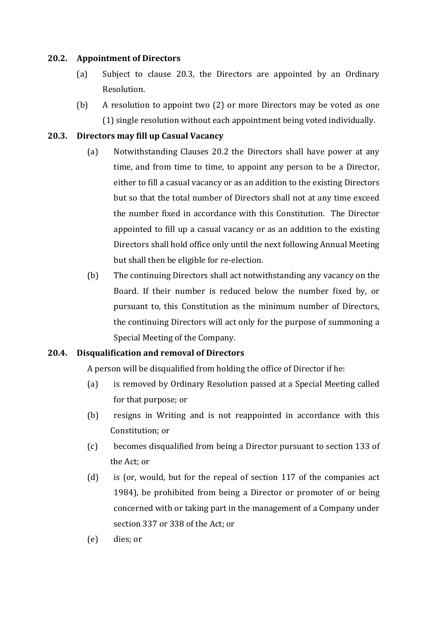### **20.2. Appointment of Directors**

- (a) Subject to clause 20.3, the Directors are appointed by an Ordinary Resolution.
- (b) A resolution to appoint two  $(2)$  or more Directors may be voted as one (1) single resolution without each appointment being voted individually.

### **20.3. Directors may fill up Casual Vacancy**

- (a) Notwithstanding Clauses 20.2 the Directors shall have power at any time, and from time to time, to appoint any person to be a Director, either to fill a casual vacancy or as an addition to the existing Directors but so that the total number of Directors shall not at any time exceed the number fixed in accordance with this Constitution. The Director appointed to fill up a casual vacancy or as an addition to the existing Directors shall hold office only until the next following Annual Meeting but shall then be eligible for re-election.
- (b) The continuing Directors shall act notwithstanding any vacancy on the Board. If their number is reduced below the number fixed by, or pursuant to, this Constitution as the minimum number of Directors, the continuing Directors will act only for the purpose of summoning a Special Meeting of the Company.

### **20.4. Disqualification and removal of Directors**

A person will be disqualified from holding the office of Director if he:

- (a) is removed by Ordinary Resolution passed at a Special Meeting called for that purpose; or
- $(b)$  resigns in Writing and is not reappointed in accordance with this Constitution: or
- (c) becomes disqualified from being a Director pursuant to section 133 of the Act; or
- (d) is (or, would, but for the repeal of section  $117$  of the companies act 1984), be prohibited from being a Director or promoter of or being concerned with or taking part in the management of a Company under section 337 or 338 of the Act; or
- (e) dies; or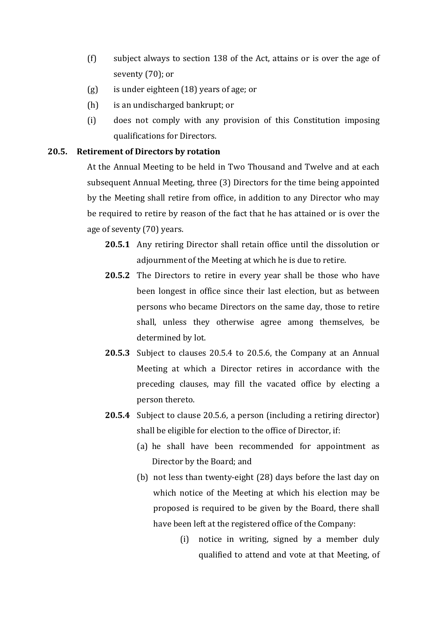- $(f)$  subject always to section 138 of the Act, attains or is over the age of seventy (70); or
- $(g)$  is under eighteen  $(18)$  years of age; or
- $(h)$  is an undischarged bankrupt; or
- (i) does not comply with any provision of this Constitution imposing qualifications for Directors.

#### **20.5. Retirement of Directors by rotation**

At the Annual Meeting to be held in Two Thousand and Twelve and at each subsequent Annual Meeting, three (3) Directors for the time being appointed by the Meeting shall retire from office, in addition to any Director who may be required to retire by reason of the fact that he has attained or is over the age of seventy (70) years.

- **20.5.1** Any retiring Director shall retain office until the dissolution or adjournment of the Meeting at which he is due to retire.
- **20.5.2** The Directors to retire in every year shall be those who have been longest in office since their last election, but as between persons who became Directors on the same day, those to retire shall, unless they otherwise agree among themselves, be determined by lot.
- **20.5.3** Subject to clauses 20.5.4 to 20.5.6, the Company at an Annual Meeting at which a Director retires in accordance with the preceding clauses, may fill the vacated office by electing a person thereto.
- **20.5.4** Subject to clause 20.5.6, a person (including a retiring director) shall be eligible for election to the office of Director, if:
	- (a) he shall have been recommended for appointment as Director by the Board; and
	- (b) not less than twenty-eight (28) days before the last day on which notice of the Meeting at which his election may be proposed is required to be given by the Board, there shall have been left at the registered office of the Company:
		- $(i)$  notice in writing, signed by a member duly qualified to attend and vote at that Meeting, of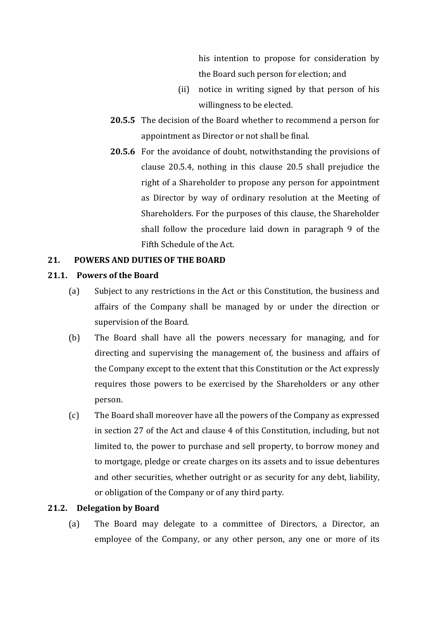his intention to propose for consideration by the Board such person for election; and

- (ii) notice in writing signed by that person of his willingness to be elected.
- **20.5.5** The decision of the Board whether to recommend a person for appointment as Director or not shall be final.
- **20.5.6** For the avoidance of doubt, notwithstanding the provisions of clause  $20.5.4$ , nothing in this clause  $20.5$  shall prejudice the right of a Shareholder to propose any person for appointment as Director by way of ordinary resolution at the Meeting of Shareholders. For the purposes of this clause, the Shareholder shall follow the procedure laid down in paragraph  $9$  of the Fifth Schedule of the Act.

### **21. POWERS AND DUTIES OF THE BOARD**

### **21.1. Powers of the Board**

- (a) Subject to any restrictions in the Act or this Constitution, the business and affairs of the Company shall be managed by or under the direction or supervision of the Board.
- (b) The Board shall have all the powers necessary for managing, and for directing and supervising the management of, the business and affairs of the Company except to the extent that this Constitution or the Act expressly requires those powers to be exercised by the Shareholders or any other person.
- (c) The Board shall moreover have all the powers of the Company as expressed in section 27 of the Act and clause 4 of this Constitution, including, but not limited to, the power to purchase and sell property, to borrow money and to mortgage, pledge or create charges on its assets and to issue debentures and other securities, whether outright or as security for any debt, liability, or obligation of the Company or of any third party.

### **21.2. Delegation by Board**

(a) The Board may delegate to a committee of Directors, a Director, an employee of the Company, or any other person, any one or more of its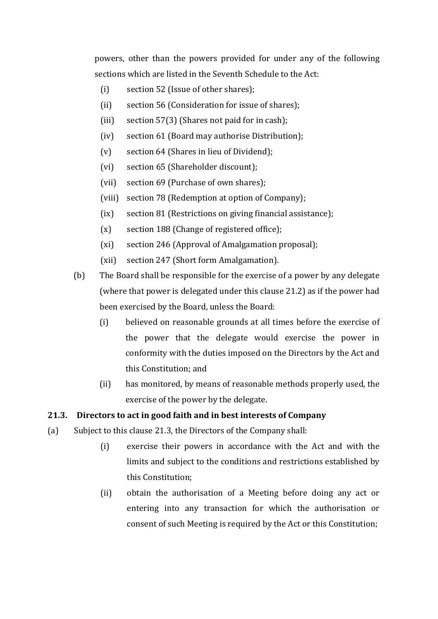powers, other than the powers provided for under any of the following sections which are listed in the Seventh Schedule to the Act:

- $(i)$  section 52 (Issue of other shares);
- (ii) section 56 (Consideration for issue of shares);
- (iii) section  $57(3)$  (Shares not paid for in cash);
- (iv) section 61 (Board may authorise Distribution);
- $(v)$  section 64 (Shares in lieu of Dividend);
- (vi) section 65 (Shareholder discount);
- (vii) section 69 (Purchase of own shares);
- (viii) section 78 (Redemption at option of Company);
- (ix) section 81 (Restrictions on giving financial assistance);
- $(x)$  section 188 (Change of registered office);
- (xi) section 246 (Approval of Amalgamation proposal);
- (xii) section 247 (Short form Amalgamation).
- (b) The Board shall be responsible for the exercise of a power by any delegate (where that power is delegated under this clause  $21.2$ ) as if the power had been exercised by the Board, unless the Board:
	- (i) believed on reasonable grounds at all times before the exercise of the power that the delegate would exercise the power in conformity with the duties imposed on the Directors by the Act and this Constitution; and
	- (ii) has monitored, by means of reasonable methods properly used, the exercise of the power by the delegate.

# **21.3. Directors to act in good faith and in best interests of Company**

- (a) Subject to this clause 21.3, the Directors of the Company shall:
	- (i) exercise their powers in accordance with the Act and with the limits and subject to the conditions and restrictions established by this Constitution;
	- (ii) obtain the authorisation of a Meeting before doing any act or entering into any transaction for which the authorisation or consent of such Meeting is required by the Act or this Constitution;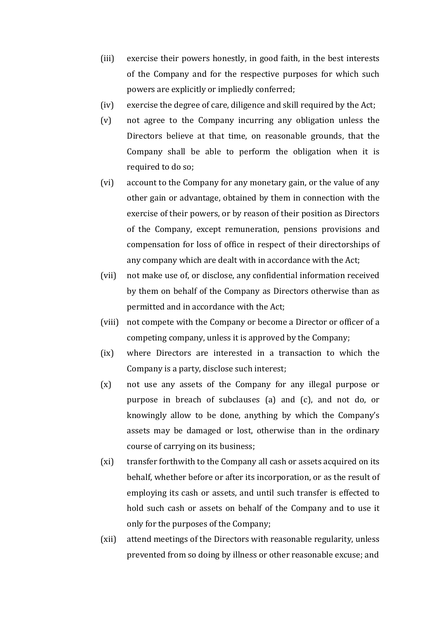- (iii) exercise their powers honestly, in good faith, in the best interests of the Company and for the respective purposes for which such powers are explicitly or impliedly conferred;
- (iv) exercise the degree of care, diligence and skill required by the Act;
- $(v)$  not agree to the Company incurring any obligation unless the Directors believe at that time, on reasonable grounds, that the Company shall be able to perform the obligation when it is required to do so;
- (vi) account to the Company for any monetary gain, or the value of any other gain or advantage, obtained by them in connection with the exercise of their powers, or by reason of their position as Directors of the Company, except remuneration, pensions provisions and compensation for loss of office in respect of their directorships of any company which are dealt with in accordance with the Act;
- (vii) not make use of, or disclose, any confidential information received by them on behalf of the Company as Directors otherwise than as permitted and in accordance with the Act;
- (viii) not compete with the Company or become a Director or officer of a competing company, unless it is approved by the Company;
- (ix) where Directors are interested in a transaction to which the Company is a party, disclose such interest;
- $(x)$  not use any assets of the Company for any illegal purpose or purpose in breach of subclauses  $(a)$  and  $(c)$ , and not do, or knowingly allow to be done, anything by which the Company's assets may be damaged or lost, otherwise than in the ordinary course of carrying on its business;
- (xi) transfer forthwith to the Company all cash or assets acquired on its behalf, whether before or after its incorporation, or as the result of employing its cash or assets, and until such transfer is effected to hold such cash or assets on behalf of the Company and to use it only for the purposes of the Company;
- (xii) attend meetings of the Directors with reasonable regularity, unless prevented from so doing by illness or other reasonable excuse; and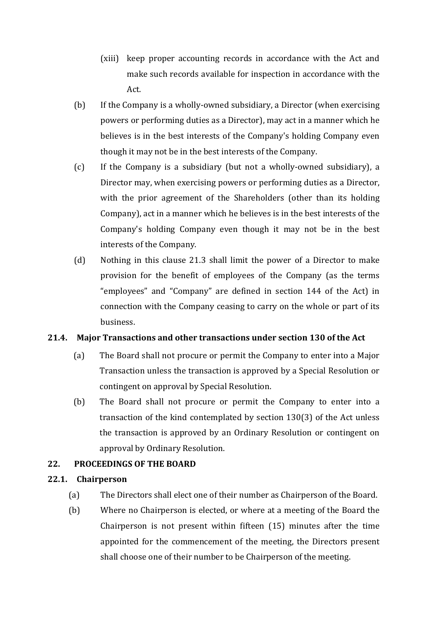- (xiii) keep proper accounting records in accordance with the Act and make such records available for inspection in accordance with the Act.
- (b) If the Company is a wholly-owned subsidiary, a Director (when exercising powers or performing duties as a Director), may act in a manner which he believes is in the best interests of the Company's holding Company even though it may not be in the best interests of the Company.
- $(c)$  If the Company is a subsidiary (but not a wholly-owned subsidiary), a Director may, when exercising powers or performing duties as a Director, with the prior agreement of the Shareholders (other than its holding Company), act in a manner which he believes is in the best interests of the Company's holding Company even though it may not be in the best interests of the Company.
- (d) Nothing in this clause 21.3 shall limit the power of a Director to make provision for the benefit of employees of the Company (as the terms "employees" and "Company" are defined in section 144 of the Act) in connection with the Company ceasing to carry on the whole or part of its business.

# **21.4. Major Transactions and other transactions under section 130 of the Act**

- (a) The Board shall not procure or permit the Company to enter into a Major Transaction unless the transaction is approved by a Special Resolution or contingent on approval by Special Resolution.
- (b) The Board shall not procure or permit the Company to enter into a transaction of the kind contemplated by section  $130(3)$  of the Act unless the transaction is approved by an Ordinary Resolution or contingent on approval by Ordinary Resolution.

# **22. PROCEEDINGS OF THE BOARD**

### **22.1. Chairperson**

- (a) The Directors shall elect one of their number as Chairperson of the Board.
- (b) Where no Chairperson is elected, or where at a meeting of the Board the Chairperson is not present within fifteen  $(15)$  minutes after the time appointed for the commencement of the meeting, the Directors present shall choose one of their number to be Chairperson of the meeting.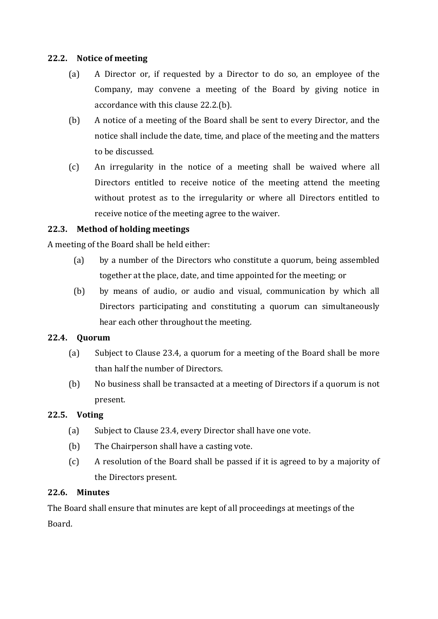### **22.2. Notice of meeting**

- (a) A Director or, if requested by a Director to do so, an employee of the Company, may convene a meeting of the Board by giving notice in accordance with this clause  $22.2(p)$ .
- (b) A notice of a meeting of the Board shall be sent to every Director, and the notice shall include the date, time, and place of the meeting and the matters to be discussed.
- (c) An irregularity in the notice of a meeting shall be waived where all Directors entitled to receive notice of the meeting attend the meeting without protest as to the irregularity or where all Directors entitled to receive notice of the meeting agree to the waiver.

# **22.3. Method of holding meetings**

A meeting of the Board shall be held either:

- (a) by a number of the Directors who constitute a quorum, being assembled together at the place, date, and time appointed for the meeting; or
- (b) by means of audio, or audio and visual, communication by which all Directors participating and constituting a quorum can simultaneously hear each other throughout the meeting.

# **22.4. Quorum**

- (a) Subject to Clause 23.4, a quorum for a meeting of the Board shall be more than half the number of Directors.
- (b) No business shall be transacted at a meeting of Directors if a quorum is not present.

# **22.5. Voting**

- (a) Subject to Clause 23.4, every Director shall have one vote.
- $(b)$  The Chairperson shall have a casting vote.
- (c) A resolution of the Board shall be passed if it is agreed to by a majority of the Directors present.

# **22.6. Minutes**

The Board shall ensure that minutes are kept of all proceedings at meetings of the Board.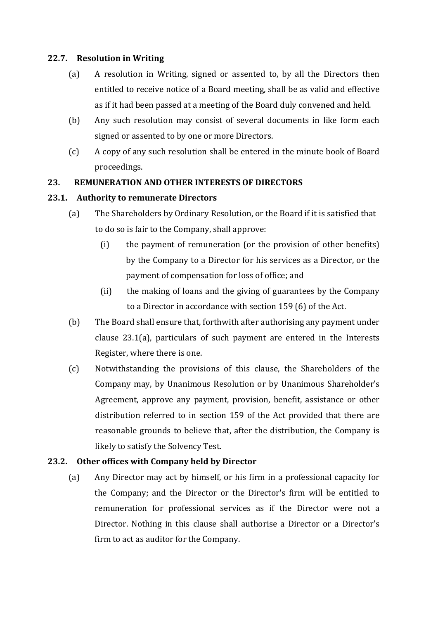### **22.7. Resolution in Writing**

- (a) A resolution in Writing, signed or assented to, by all the Directors then entitled to receive notice of a Board meeting, shall be as valid and effective as if it had been passed at a meeting of the Board duly convened and held.
- (b) Any such resolution may consist of several documents in like form each signed or assented to by one or more Directors.
- (c) A copy of any such resolution shall be entered in the minute book of Board proceedings.

### **23. REMUNERATION AND OTHER INTERESTS OF DIRECTORS**

### **23.1. Authority to remunerate Directors**

- (a) The Shareholders by Ordinary Resolution, or the Board if it is satisfied that to do so is fair to the Company, shall approve:
	- $(i)$  the payment of remuneration (or the provision of other benefits) by the Company to a Director for his services as a Director, or the payment of compensation for loss of office; and
	- (ii) the making of loans and the giving of guarantees by the Company to a Director in accordance with section 159 (6) of the Act.
- (b) The Board shall ensure that, forthwith after authorising any payment under clause  $23.1(a)$ , particulars of such payment are entered in the Interests Register, where there is one.
- (c) Notwithstanding the provisions of this clause, the Shareholders of the Company may, by Unanimous Resolution or by Unanimous Shareholder's Agreement, approve any payment, provision, benefit, assistance or other distribution referred to in section 159 of the Act provided that there are reasonable grounds to believe that, after the distribution, the Company is likely to satisfy the Solvency Test.

# **23.2. Other offices with Company held by Director**

(a) Any Director may act by himself, or his firm in a professional capacity for the Company; and the Director or the Director's firm will be entitled to remuneration for professional services as if the Director were not a Director. Nothing in this clause shall authorise a Director or a Director's firm to act as auditor for the Company.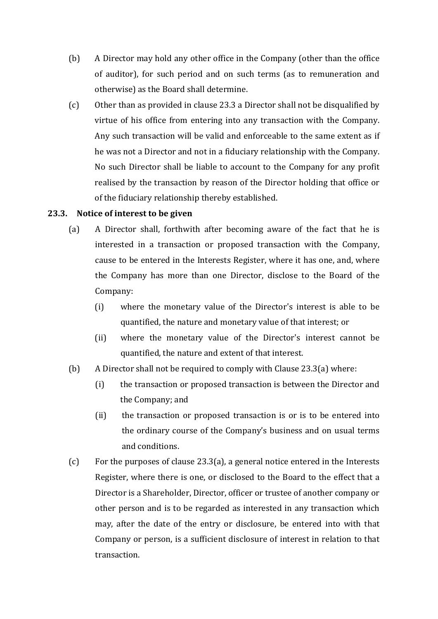- (b) A Director may hold any other office in the Company (other than the office of auditor), for such period and on such terms (as to remuneration and otherwise) as the Board shall determine.
- $(c)$  Other than as provided in clause 23.3 a Director shall not be disqualified by virtue of his office from entering into any transaction with the Company. Any such transaction will be valid and enforceable to the same extent as if he was not a Director and not in a fiduciary relationship with the Company. No such Director shall be liable to account to the Company for any profit realised by the transaction by reason of the Director holding that office or of the fiduciary relationship thereby established.

### **23.3. Notice of interest to be given**

- (a) A Director shall, forthwith after becoming aware of the fact that he is interested in a transaction or proposed transaction with the Company, cause to be entered in the Interests Register, where it has one, and, where the Company has more than one Director, disclose to the Board of the Company:
	- $(i)$  where the monetary value of the Director's interest is able to be quantified, the nature and monetary value of that interest; or
	- (ii) where the monetary value of the Director's interest cannot be quantified, the nature and extent of that interest.
- (b) A Director shall not be required to comply with Clause  $23.3(a)$  where:
	- (i) the transaction or proposed transaction is between the Director and the Company; and
	- $(ii)$  the transaction or proposed transaction is or is to be entered into the ordinary course of the Company's business and on usual terms and conditions.
- (c) For the purposes of clause  $23.3(a)$ , a general notice entered in the Interests Register, where there is one, or disclosed to the Board to the effect that a Director is a Shareholder, Director, officer or trustee of another company or other person and is to be regarded as interested in any transaction which may, after the date of the entry or disclosure, be entered into with that Company or person, is a sufficient disclosure of interest in relation to that transaction.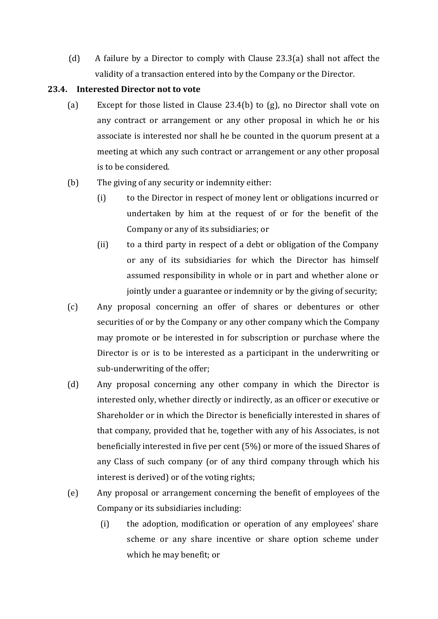(d) A failure by a Director to comply with Clause  $23.3(a)$  shall not affect the validity of a transaction entered into by the Company or the Director.

### **23.4. Interested Director not to vote**

- (a) Except for those listed in Clause 23.4(b) to  $(g)$ , no Director shall vote on any contract or arrangement or any other proposal in which he or his associate is interested nor shall he be counted in the quorum present at a meeting at which any such contract or arrangement or any other proposal is to be considered.
- $(b)$  The giving of any security or indemnity either:
	- (i) to the Director in respect of money lent or obligations incurred or undertaken by him at the request of or for the benefit of the Company or any of its subsidiaries: or
	- (ii) to a third party in respect of a debt or obligation of the Company or any of its subsidiaries for which the Director has himself assumed responsibility in whole or in part and whether alone or jointly under a guarantee or indemnity or by the giving of security;
- (c) Any proposal concerning an offer of shares or debentures or other securities of or by the Company or any other company which the Company may promote or be interested in for subscription or purchase where the Director is or is to be interested as a participant in the underwriting or sub-underwriting of the offer;
- (d) Any proposal concerning any other company in which the Director is interested only, whether directly or indirectly, as an officer or executive or Shareholder or in which the Director is beneficially interested in shares of that company, provided that he, together with any of his Associates, is not beneficially interested in five per cent  $(5%)$  or more of the issued Shares of any Class of such company (or of any third company through which his interest is derived) or of the voting rights;
- (e) Any proposal or arrangement concerning the benefit of employees of the Company or its subsidiaries including:
	- (i) the adoption, modification or operation of any employees' share scheme or any share incentive or share option scheme under which he may benefit; or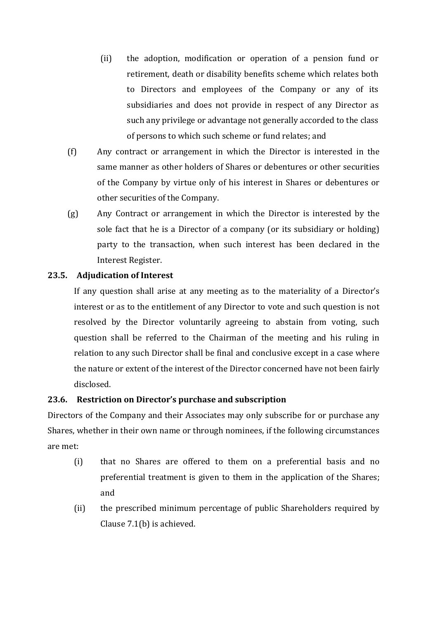- (ii) the adoption, modification or operation of a pension fund or retirement, death or disability benefits scheme which relates both to Directors and employees of the Company or any of its subsidiaries and does not provide in respect of any Director as such any privilege or advantage not generally accorded to the class of persons to which such scheme or fund relates; and
- (f) Any contract or arrangement in which the Director is interested in the same manner as other holders of Shares or debentures or other securities of the Company by virtue only of his interest in Shares or debentures or other securities of the Company.
- (g) Any Contract or arrangement in which the Director is interested by the sole fact that he is a Director of a company (or its subsidiary or holding) party to the transaction, when such interest has been declared in the Interest Register.

### **23.5. Adjudication of Interest**

If any question shall arise at any meeting as to the materiality of a Director's interest or as to the entitlement of any Director to vote and such question is not resolved by the Director voluntarily agreeing to abstain from voting, such question shall be referred to the Chairman of the meeting and his ruling in relation to any such Director shall be final and conclusive except in a case where the nature or extent of the interest of the Director concerned have not been fairly disclosed. 

### **23.6. Restriction on Director's purchase and subscription**

Directors of the Company and their Associates may only subscribe for or purchase any Shares, whether in their own name or through nominees, if the following circumstances are met: 

- (i) that no Shares are offered to them on a preferential basis and no preferential treatment is given to them in the application of the Shares; and
- (ii) the prescribed minimum percentage of public Shareholders required by Clause  $7.1(b)$  is achieved.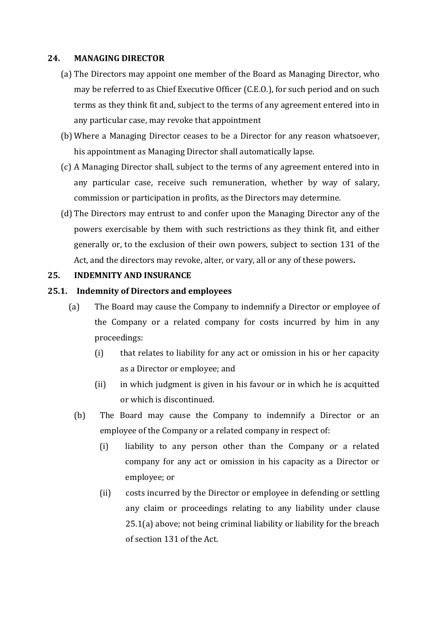#### **24. MANAGING DIRECTOR**

- (a) The Directors may appoint one member of the Board as Managing Director, who may be referred to as Chief Executive Officer (C.E.O.), for such period and on such terms as they think fit and, subject to the terms of any agreement entered into in any particular case, may revoke that appointment
- (b) Where a Managing Director ceases to be a Director for any reason whatsoever, his appointment as Managing Director shall automatically lapse.
- (c) A Managing Director shall, subject to the terms of any agreement entered into in any particular case, receive such remuneration, whether by way of salary, commission or participation in profits, as the Directors may determine.
- (d) The Directors may entrust to and confer upon the Managing Director any of the powers exercisable by them with such restrictions as they think fit, and either generally or, to the exclusion of their own powers, subject to section 131 of the Act, and the directors may revoke, alter, or vary, all or any of these powers.

#### **25. INDEMNITY AND INSURANCE**

#### **25.1. Indemnity of Directors and employees**

- (a) The Board may cause the Company to indemnify a Director or employee of the Company or a related company for costs incurred by him in any proceedings:
	- (i) that relates to liability for any act or omission in his or her capacity as a Director or employee; and
	- (ii) in which judgment is given in his favour or in which he is acquitted or which is discontinued.
	- (b) The Board may cause the Company to indemnify a Director or an employee of the Company or a related company in respect of:
		- (i) liability to any person other than the Company or a related company for any act or omission in his capacity as a Director or employee; or
		- (ii) costs incurred by the Director or employee in defending or settling any claim or proceedings relating to any liability under clause  $25.1(a)$  above; not being criminal liability or liability for the breach of section 131 of the Act.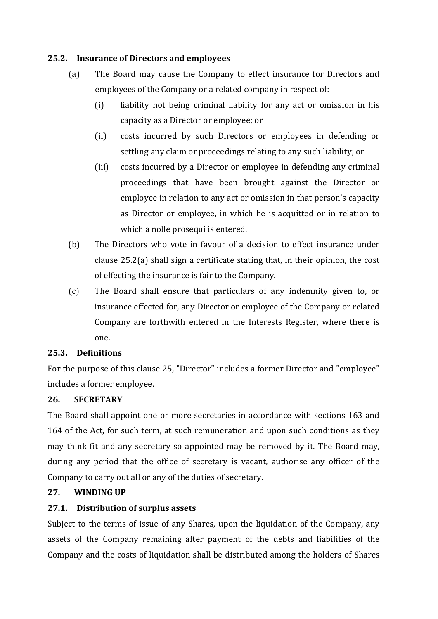### **25.2. Insurance of Directors and employees**

- (a) The Board may cause the Company to effect insurance for Directors and employees of the Company or a related company in respect of:
	- (i) liability not being criminal liability for any act or omission in his capacity as a Director or employee; or
	- (ii) costs incurred by such Directors or employees in defending or settling any claim or proceedings relating to any such liability; or
	- (iii) costs incurred by a Director or employee in defending any criminal proceedings that have been brought against the Director or employee in relation to any act or omission in that person's capacity as Director or employee, in which he is acquitted or in relation to which a nolle prosequi is entered.
- (b) The Directors who vote in favour of a decision to effect insurance under clause  $25.2(a)$  shall sign a certificate stating that, in their opinion, the cost of effecting the insurance is fair to the Company.
- (c) The Board shall ensure that particulars of any indemnity given to, or insurance effected for, any Director or employee of the Company or related Company are forthwith entered in the Interests Register, where there is one.

### **25.3. Definitions**

For the purpose of this clause 25, "Director" includes a former Director and "employee" includes a former employee.

### **26. SECRETARY**

The Board shall appoint one or more secretaries in accordance with sections 163 and 164 of the Act, for such term, at such remuneration and upon such conditions as they may think fit and any secretary so appointed may be removed by it. The Board may, during any period that the office of secretary is vacant, authorise any officer of the Company to carry out all or any of the duties of secretary.

### **27. WINDING UP**

### **27.1. Distribution of surplus assets**

Subject to the terms of issue of any Shares, upon the liquidation of the Company, any assets of the Company remaining after payment of the debts and liabilities of the Company and the costs of liquidation shall be distributed among the holders of Shares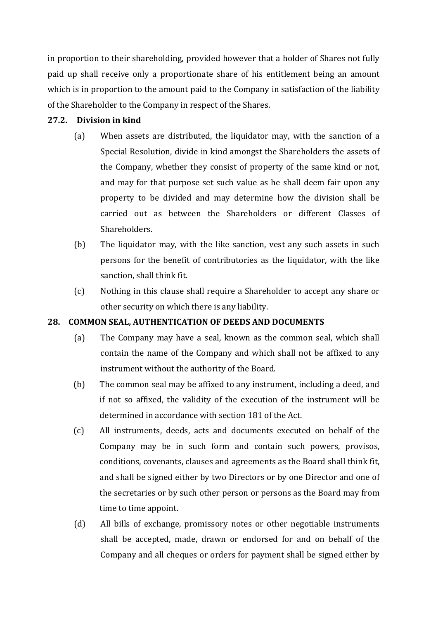in proportion to their shareholding, provided however that a holder of Shares not fully paid up shall receive only a proportionate share of his entitlement being an amount which is in proportion to the amount paid to the Company in satisfaction of the liability of the Shareholder to the Company in respect of the Shares.

#### **27.2. Division in kind**

- (a) When assets are distributed, the liquidator may, with the sanction of a Special Resolution, divide in kind amongst the Shareholders the assets of the Company, whether they consist of property of the same kind or not, and may for that purpose set such value as he shall deem fair upon any property to be divided and may determine how the division shall be carried out as between the Shareholders or different Classes of Shareholders.
- (b) The liquidator may, with the like sanction, vest any such assets in such persons for the benefit of contributories as the liquidator, with the like sanction, shall think fit.
- (c) Nothing in this clause shall require a Shareholder to accept any share or other security on which there is any liability.

### **28. COMMON SEAL, AUTHENTICATION OF DEEDS AND DOCUMENTS**

- (a) The Company may have a seal, known as the common seal, which shall contain the name of the Company and which shall not be affixed to any instrument without the authority of the Board.
- (b) The common seal may be affixed to any instrument, including a deed, and if not so affixed, the validity of the execution of the instrument will be determined in accordance with section 181 of the Act.
- (c) All instruments, deeds, acts and documents executed on behalf of the Company may be in such form and contain such powers, provisos, conditions, covenants, clauses and agreements as the Board shall think fit, and shall be signed either by two Directors or by one Director and one of the secretaries or by such other person or persons as the Board may from time to time appoint.
- (d) All bills of exchange, promissory notes or other negotiable instruments shall be accepted, made, drawn or endorsed for and on behalf of the Company and all cheques or orders for payment shall be signed either by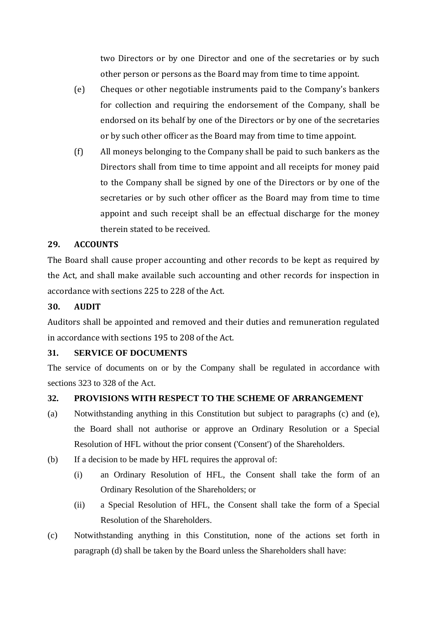two Directors or by one Director and one of the secretaries or by such other person or persons as the Board may from time to time appoint.

- (e) Cheques or other negotiable instruments paid to the Company's bankers for collection and requiring the endorsement of the Company, shall be endorsed on its behalf by one of the Directors or by one of the secretaries or by such other officer as the Board may from time to time appoint.
- $(f)$  All moneys belonging to the Company shall be paid to such bankers as the Directors shall from time to time appoint and all receipts for money paid to the Company shall be signed by one of the Directors or by one of the secretaries or by such other officer as the Board may from time to time appoint and such receipt shall be an effectual discharge for the money therein stated to be received.

# **29. ACCOUNTS**

The Board shall cause proper accounting and other records to be kept as required by the Act, and shall make available such accounting and other records for inspection in accordance with sections 225 to 228 of the Act.

### **30. AUDIT**

Auditors shall be appointed and removed and their duties and remuneration regulated in accordance with sections 195 to 208 of the Act.

# **31. SERVICE OF DOCUMENTS**

The service of documents on or by the Company shall be regulated in accordance with sections 323 to 328 of the Act.

# **32. PROVISIONS WITH RESPECT TO THE SCHEME OF ARRANGEMENT**

- (a) Notwithstanding anything in this Constitution but subject to paragraphs (c) and (e), the Board shall not authorise or approve an Ordinary Resolution or a Special Resolution of HFL without the prior consent ('Consent') of the Shareholders.
- (b) If a decision to be made by HFL requires the approval of:
	- (i) an Ordinary Resolution of HFL, the Consent shall take the form of an Ordinary Resolution of the Shareholders; or
	- (ii) a Special Resolution of HFL, the Consent shall take the form of a Special Resolution of the Shareholders.
- (c) Notwithstanding anything in this Constitution, none of the actions set forth in paragraph (d) shall be taken by the Board unless the Shareholders shall have: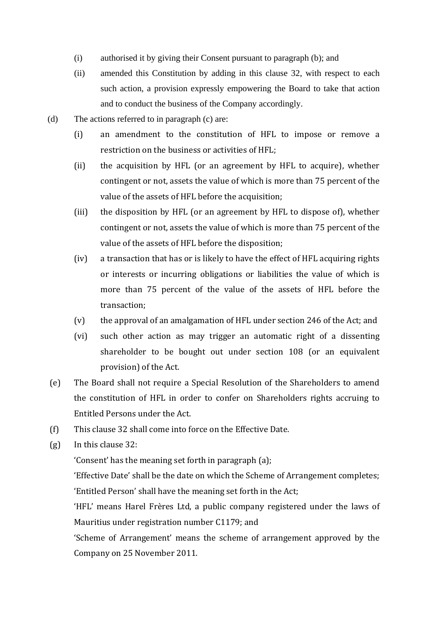- (i) authorised it by giving their Consent pursuant to paragraph (b); and
- (ii) amended this Constitution by adding in this clause 32, with respect to each such action, a provision expressly empowering the Board to take that action and to conduct the business of the Company accordingly.
- (d) The actions referred to in paragraph (c) are:
	- (i) an amendment to the constitution of HFL to impose or remove a restriction on the business or activities of  $HFL$ :
	- (ii) the acquisition by HFL (or an agreement by HFL to acquire), whether contingent or not, assets the value of which is more than 75 percent of the value of the assets of HFL before the acquisition;
	- (iii) the disposition by HFL (or an agreement by HFL to dispose of), whether contingent or not, assets the value of which is more than 75 percent of the value of the assets of HFL before the disposition;
	- $(iv)$  a transaction that has or is likely to have the effect of HFL acquiring rights or interests or incurring obligations or liabilities the value of which is more than 75 percent of the value of the assets of HFL before the transaction;
	- (v) the approval of an amalgamation of HFL under section 246 of the Act; and
	- (vi) such other action as may trigger an automatic right of a dissenting shareholder to be bought out under section 108 (or an equivalent provision) of the Act.
- (e) The Board shall not require a Special Resolution of the Shareholders to amend the constitution of HFL in order to confer on Shareholders rights accruing to Entitled Persons under the Act.
- (f) This clause 32 shall come into force on the Effective Date.
- $(g)$  In this clause 32:

'Consent' has the meaning set forth in paragraph (a);

'Effective Date' shall be the date on which the Scheme of Arrangement completes; 'Entitled Person' shall have the meaning set forth in the Act;

'HFL' means Harel Frères Ltd, a public company registered under the laws of Mauritius under registration number C1179; and

'Scheme of Arrangement' means the scheme of arrangement approved by the Company on 25 November 2011.